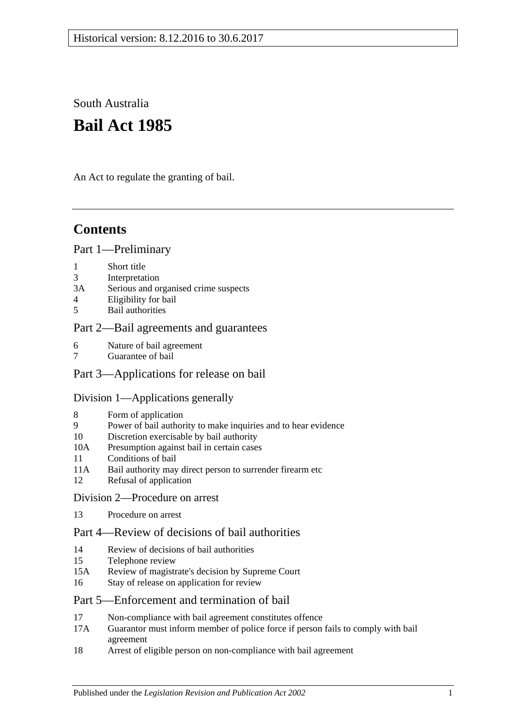South Australia

# **Bail Act 1985**

An Act to regulate the granting of bail.

## **Contents**

### [Part 1—Preliminary](#page-1-0)

- 1 [Short title](#page-1-1)
- 3 [Interpretation](#page-1-2)
- 3A [Serious and organised crime suspects](#page-3-0)
- 4 [Eligibility for bail](#page-3-1)
- 5 [Bail authorities](#page-4-0)

### [Part 2—Bail agreements and guarantees](#page-5-0)

- 6 [Nature of bail agreement](#page-5-1)
- 7 [Guarantee of bail](#page-6-0)

### [Part 3—Applications for release on bail](#page-7-0)

### [Division 1—Applications generally](#page-7-1)

- 8 [Form of application](#page-7-2)
- 9 [Power of bail authority to make inquiries and to hear evidence](#page-7-3)
- 10 [Discretion exercisable by bail authority](#page-8-0)
- 10A [Presumption against bail in certain cases](#page-8-1)
- 11 [Conditions of bail](#page-10-0)
- 11A [Bail authority may direct person to surrender firearm etc](#page-14-0)
- 12 [Refusal of application](#page-14-1)
- [Division 2—Procedure on arrest](#page-14-2)
- 13 [Procedure on arrest](#page-14-3)

### [Part 4—Review of decisions of bail authorities](#page-15-0)

- 14 [Review of decisions of bail authorities](#page-15-1)
- 15 [Telephone review](#page-16-0)
- 15A Review of magistrate's [decision by Supreme Court](#page-17-0)
- 16 [Stay of release on application for review](#page-17-1)

### [Part 5—Enforcement and termination of bail](#page-18-0)

- 17 [Non-compliance with bail agreement constitutes offence](#page-18-1)
- 17A [Guarantor must inform member of police force if person fails to comply with bail](#page-19-0)  [agreement](#page-19-0)
- 18 [Arrest of eligible person on non-compliance with bail agreement](#page-19-1)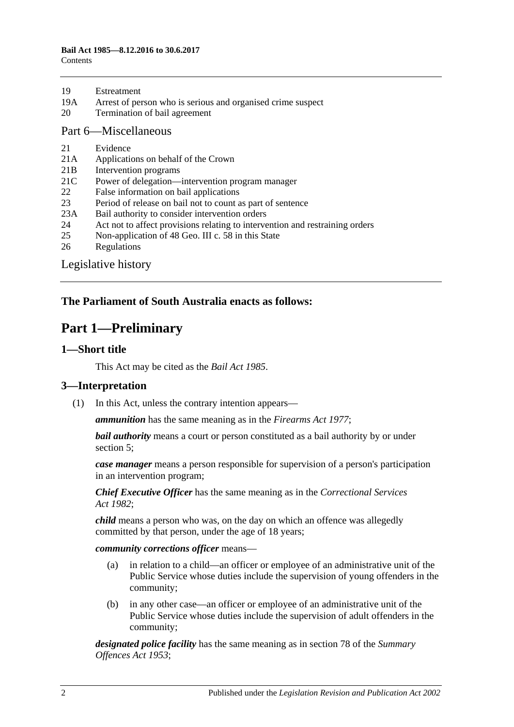| 19 | Estreatment |
|----|-------------|
|    |             |

- 19A [Arrest of person who is serious and organised crime suspect](#page-20-0)
- 20 [Termination of bail agreement](#page-20-1)

#### [Part 6—Miscellaneous](#page-20-2)

- 21 [Evidence](#page-20-3)
- 21A [Applications on behalf of the Crown](#page-20-4)
- 21B [Intervention programs](#page-20-5)
- 21C [Power of delegation—intervention program manager](#page-21-0)
- 22 [False information on bail applications](#page-22-0)
- 23 [Period of release on bail not to count as part of sentence](#page-22-1)
- 23A [Bail authority to consider intervention orders](#page-22-2)
- 24 [Act not to affect provisions relating to intervention and restraining orders](#page-23-0)
- 25 [Non-application of 48 Geo. III c. 58 in this State](#page-23-1)
- 26 [Regulations](#page-23-2)

[Legislative history](#page-24-0)

### <span id="page-1-0"></span>**The Parliament of South Australia enacts as follows:**

## **Part 1—Preliminary**

#### <span id="page-1-1"></span>**1—Short title**

This Act may be cited as the *Bail Act 1985*.

### <span id="page-1-2"></span>**3—Interpretation**

(1) In this Act, unless the contrary intention appears—

*ammunition* has the same meaning as in the *[Firearms Act](http://www.legislation.sa.gov.au/index.aspx?action=legref&type=act&legtitle=Firearms%20Act%201977) 1977*;

*bail authority* means a court or person constituted as a bail authority by or under [section](#page-4-0) 5;

*case manager* means a person responsible for supervision of a person's participation in an intervention program;

*Chief Executive Officer* has the same meaning as in the *[Correctional Services](http://www.legislation.sa.gov.au/index.aspx?action=legref&type=act&legtitle=Correctional%20Services%20Act%201982)  Act [1982](http://www.legislation.sa.gov.au/index.aspx?action=legref&type=act&legtitle=Correctional%20Services%20Act%201982)*;

*child* means a person who was, on the day on which an offence was allegedly committed by that person, under the age of 18 years;

*community corrections officer* means—

- (a) in relation to a child—an officer or employee of an administrative unit of the Public Service whose duties include the supervision of young offenders in the community;
- (b) in any other case—an officer or employee of an administrative unit of the Public Service whose duties include the supervision of adult offenders in the community;

*designated police facility* has the same meaning as in section 78 of the *[Summary](http://www.legislation.sa.gov.au/index.aspx?action=legref&type=act&legtitle=Summary%20Offences%20Act%201953)  [Offences Act](http://www.legislation.sa.gov.au/index.aspx?action=legref&type=act&legtitle=Summary%20Offences%20Act%201953) 1953*;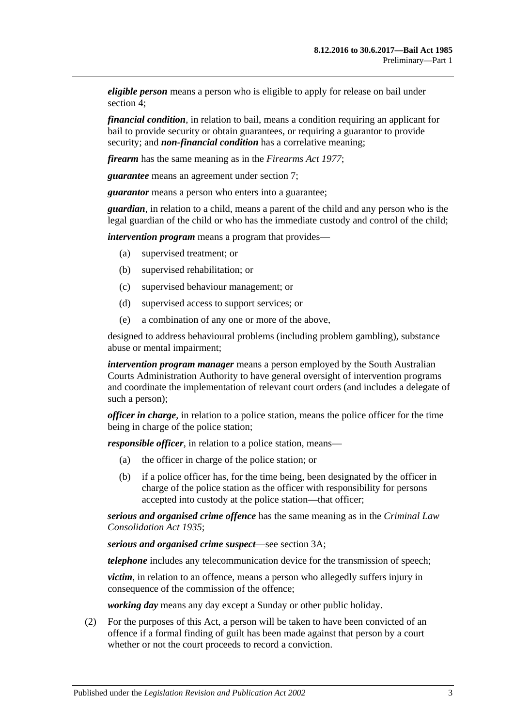*eligible person* means a person who is eligible to apply for release on bail under [section](#page-3-1) 4;

*financial condition*, in relation to bail, means a condition requiring an applicant for bail to provide security or obtain guarantees, or requiring a guarantor to provide security; and *non-financial condition* has a correlative meaning;

*firearm* has the same meaning as in the *[Firearms Act](http://www.legislation.sa.gov.au/index.aspx?action=legref&type=act&legtitle=Firearms%20Act%201977) 1977*;

*guarantee* means an agreement under [section](#page-6-0) 7;

*guarantor* means a person who enters into a guarantee;

*guardian*, in relation to a child, means a parent of the child and any person who is the legal guardian of the child or who has the immediate custody and control of the child;

*intervention program* means a program that provides—

- (a) supervised treatment; or
- (b) supervised rehabilitation; or
- (c) supervised behaviour management; or
- (d) supervised access to support services; or
- (e) a combination of any one or more of the above,

designed to address behavioural problems (including problem gambling), substance abuse or mental impairment;

*intervention program manager* means a person employed by the South Australian Courts Administration Authority to have general oversight of intervention programs and coordinate the implementation of relevant court orders (and includes a delegate of such a person);

*officer in charge*, in relation to a police station, means the police officer for the time being in charge of the police station;

*responsible officer*, in relation to a police station, means—

- (a) the officer in charge of the police station; or
- (b) if a police officer has, for the time being, been designated by the officer in charge of the police station as the officer with responsibility for persons accepted into custody at the police station—that officer;

*serious and organised crime offence* has the same meaning as in the *[Criminal Law](http://www.legislation.sa.gov.au/index.aspx?action=legref&type=act&legtitle=Criminal%20Law%20Consolidation%20Act%201935)  [Consolidation Act](http://www.legislation.sa.gov.au/index.aspx?action=legref&type=act&legtitle=Criminal%20Law%20Consolidation%20Act%201935) 1935*;

*serious and organised crime suspect*—see [section](#page-3-0) 3A;

*telephone* includes any telecommunication device for the transmission of speech;

*victim*, in relation to an offence, means a person who allegedly suffers injury in consequence of the commission of the offence;

*working day* means any day except a Sunday or other public holiday.

(2) For the purposes of this Act, a person will be taken to have been convicted of an offence if a formal finding of guilt has been made against that person by a court whether or not the court proceeds to record a conviction.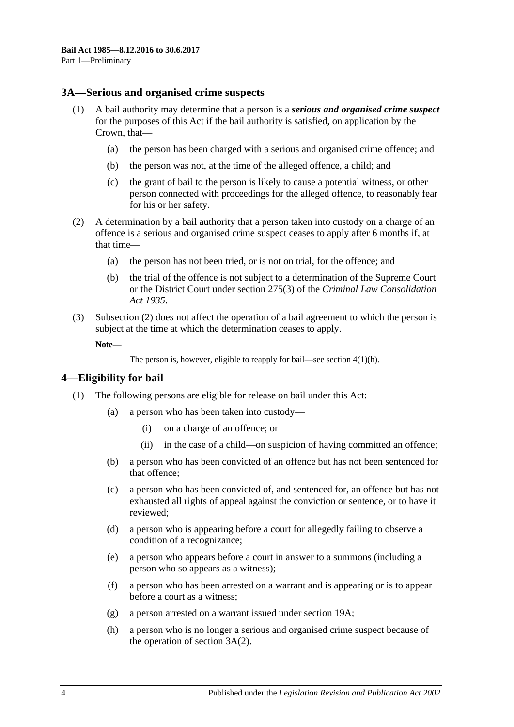### <span id="page-3-0"></span>**3A—Serious and organised crime suspects**

- <span id="page-3-5"></span><span id="page-3-4"></span>(1) A bail authority may determine that a person is a *serious and organised crime suspect* for the purposes of this Act if the bail authority is satisfied, on application by the Crown, that—
	- (a) the person has been charged with a serious and organised crime offence; and
	- (b) the person was not, at the time of the alleged offence, a child; and
	- (c) the grant of bail to the person is likely to cause a potential witness, or other person connected with proceedings for the alleged offence, to reasonably fear for his or her safety.
- <span id="page-3-6"></span><span id="page-3-2"></span>(2) A determination by a bail authority that a person taken into custody on a charge of an offence is a serious and organised crime suspect ceases to apply after 6 months if, at that time—
	- (a) the person has not been tried, or is not on trial, for the offence; and
	- (b) the trial of the offence is not subject to a determination of the Supreme Court or the District Court under section 275(3) of the *[Criminal Law Consolidation](http://www.legislation.sa.gov.au/index.aspx?action=legref&type=act&legtitle=Criminal%20Law%20Consolidation%20Act%201935)  Act [1935](http://www.legislation.sa.gov.au/index.aspx?action=legref&type=act&legtitle=Criminal%20Law%20Consolidation%20Act%201935)*.
- (3) [Subsection](#page-3-2) (2) does not affect the operation of a bail agreement to which the person is subject at the time at which the determination ceases to apply.

**Note—**

```
The person is, however, eligible to reapply for bail—see section 4(1)(h).
```
### <span id="page-3-1"></span>**4—Eligibility for bail**

- <span id="page-3-3"></span>(1) The following persons are eligible for release on bail under this Act:
	- (a) a person who has been taken into custody—
		- (i) on a charge of an offence; or
		- (ii) in the case of a child—on suspicion of having committed an offence;
	- (b) a person who has been convicted of an offence but has not been sentenced for that offence;
	- (c) a person who has been convicted of, and sentenced for, an offence but has not exhausted all rights of appeal against the conviction or sentence, or to have it reviewed;
	- (d) a person who is appearing before a court for allegedly failing to observe a condition of a recognizance;
	- (e) a person who appears before a court in answer to a summons (including a person who so appears as a witness);
	- (f) a person who has been arrested on a warrant and is appearing or is to appear before a court as a witness;
	- (g) a person arrested on a warrant issued under [section](#page-20-0) 19A;
	- (h) a person who is no longer a serious and organised crime suspect because of the operation of [section](#page-3-2) 3A(2).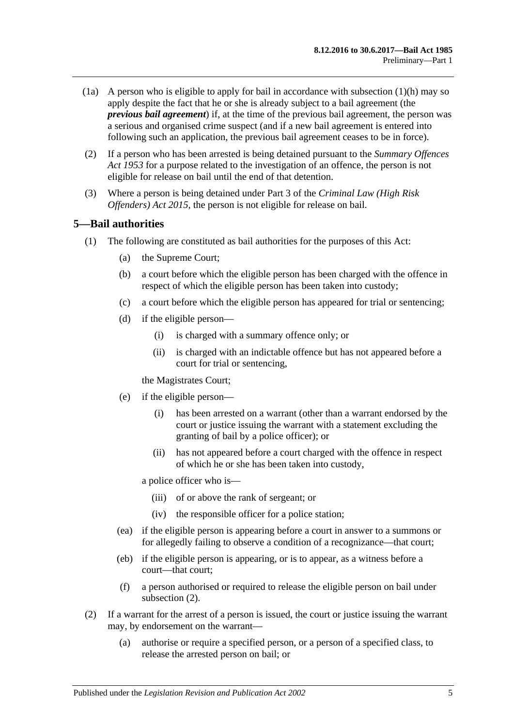- (1a) A person who is eligible to apply for bail in accordance with [subsection](#page-3-3)  $(1)(h)$  may so apply despite the fact that he or she is already subject to a bail agreement (the *previous bail agreement*) if, at the time of the previous bail agreement, the person was a serious and organised crime suspect (and if a new bail agreement is entered into following such an application, the previous bail agreement ceases to be in force).
- (2) If a person who has been arrested is being detained pursuant to the *[Summary Offences](http://www.legislation.sa.gov.au/index.aspx?action=legref&type=act&legtitle=Summary%20Offences%20Act%201953)  Act [1953](http://www.legislation.sa.gov.au/index.aspx?action=legref&type=act&legtitle=Summary%20Offences%20Act%201953)* for a purpose related to the investigation of an offence, the person is not eligible for release on bail until the end of that detention.
- (3) Where a person is being detained under Part 3 of the *[Criminal Law \(High Risk](http://www.legislation.sa.gov.au/index.aspx?action=legref&type=act&legtitle=Criminal%20Law%20(High%20Risk%20Offenders)%20Act%202015)  [Offenders\) Act](http://www.legislation.sa.gov.au/index.aspx?action=legref&type=act&legtitle=Criminal%20Law%20(High%20Risk%20Offenders)%20Act%202015) 2015*, the person is not eligible for release on bail.

### <span id="page-4-0"></span>**5—Bail authorities**

- (1) The following are constituted as bail authorities for the purposes of this Act:
	- (a) the Supreme Court;
	- (b) a court before which the eligible person has been charged with the offence in respect of which the eligible person has been taken into custody;
	- (c) a court before which the eligible person has appeared for trial or sentencing;
	- (d) if the eligible person—
		- (i) is charged with a summary offence only; or
		- (ii) is charged with an indictable offence but has not appeared before a court for trial or sentencing,

the Magistrates Court;

- (e) if the eligible person—
	- (i) has been arrested on a warrant (other than a warrant endorsed by the court or justice issuing the warrant with a statement excluding the granting of bail by a police officer); or
	- (ii) has not appeared before a court charged with the offence in respect of which he or she has been taken into custody,

a police officer who is—

- (iii) of or above the rank of sergeant; or
- (iv) the responsible officer for a police station;
- (ea) if the eligible person is appearing before a court in answer to a summons or for allegedly failing to observe a condition of a recognizance—that court;
- (eb) if the eligible person is appearing, or is to appear, as a witness before a court—that court;
- (f) a person authorised or required to release the eligible person on bail under [subsection](#page-4-1) (2).
- <span id="page-4-1"></span>(2) If a warrant for the arrest of a person is issued, the court or justice issuing the warrant may, by endorsement on the warrant—
	- (a) authorise or require a specified person, or a person of a specified class, to release the arrested person on bail; or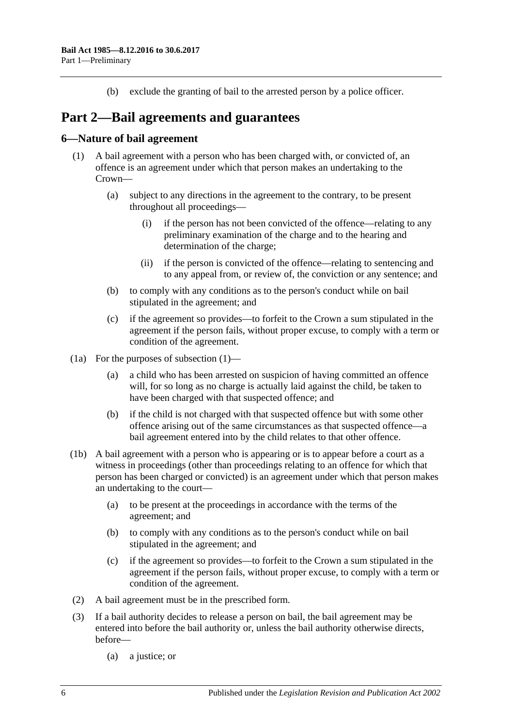(b) exclude the granting of bail to the arrested person by a police officer.

## <span id="page-5-0"></span>**Part 2—Bail agreements and guarantees**

### <span id="page-5-2"></span><span id="page-5-1"></span>**6—Nature of bail agreement**

- (1) A bail agreement with a person who has been charged with, or convicted of, an offence is an agreement under which that person makes an undertaking to the Crown—
	- (a) subject to any directions in the agreement to the contrary, to be present throughout all proceedings—
		- (i) if the person has not been convicted of the offence—relating to any preliminary examination of the charge and to the hearing and determination of the charge;
		- (ii) if the person is convicted of the offence—relating to sentencing and to any appeal from, or review of, the conviction or any sentence; and
	- (b) to comply with any conditions as to the person's conduct while on bail stipulated in the agreement; and
	- (c) if the agreement so provides—to forfeit to the Crown a sum stipulated in the agreement if the person fails, without proper excuse, to comply with a term or condition of the agreement.
- (1a) For the purposes of [subsection](#page-5-2) (1)—
	- (a) a child who has been arrested on suspicion of having committed an offence will, for so long as no charge is actually laid against the child, be taken to have been charged with that suspected offence; and
	- (b) if the child is not charged with that suspected offence but with some other offence arising out of the same circumstances as that suspected offence—a bail agreement entered into by the child relates to that other offence.
- (1b) A bail agreement with a person who is appearing or is to appear before a court as a witness in proceedings (other than proceedings relating to an offence for which that person has been charged or convicted) is an agreement under which that person makes an undertaking to the court—
	- (a) to be present at the proceedings in accordance with the terms of the agreement; and
	- (b) to comply with any conditions as to the person's conduct while on bail stipulated in the agreement; and
	- (c) if the agreement so provides—to forfeit to the Crown a sum stipulated in the agreement if the person fails, without proper excuse, to comply with a term or condition of the agreement.
- (2) A bail agreement must be in the prescribed form.
- (3) If a bail authority decides to release a person on bail, the bail agreement may be entered into before the bail authority or, unless the bail authority otherwise directs, before—
	- (a) a justice; or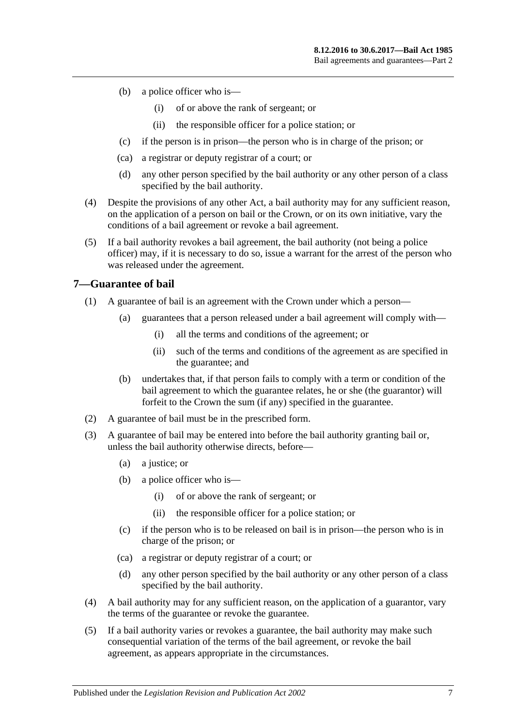- (b) a police officer who is—
	- (i) of or above the rank of sergeant; or
	- (ii) the responsible officer for a police station; or
- (c) if the person is in prison—the person who is in charge of the prison; or
- (ca) a registrar or deputy registrar of a court; or
- (d) any other person specified by the bail authority or any other person of a class specified by the bail authority.
- (4) Despite the provisions of any other Act, a bail authority may for any sufficient reason, on the application of a person on bail or the Crown, or on its own initiative, vary the conditions of a bail agreement or revoke a bail agreement.
- (5) If a bail authority revokes a bail agreement, the bail authority (not being a police officer) may, if it is necessary to do so, issue a warrant for the arrest of the person who was released under the agreement.

### <span id="page-6-0"></span>**7—Guarantee of bail**

- (1) A guarantee of bail is an agreement with the Crown under which a person—
	- (a) guarantees that a person released under a bail agreement will comply with—
		- (i) all the terms and conditions of the agreement; or
		- (ii) such of the terms and conditions of the agreement as are specified in the guarantee; and
	- (b) undertakes that, if that person fails to comply with a term or condition of the bail agreement to which the guarantee relates, he or she (the guarantor) will forfeit to the Crown the sum (if any) specified in the guarantee.
- (2) A guarantee of bail must be in the prescribed form.
- (3) A guarantee of bail may be entered into before the bail authority granting bail or, unless the bail authority otherwise directs, before—
	- (a) a justice; or
	- (b) a police officer who is—
		- (i) of or above the rank of sergeant; or
		- (ii) the responsible officer for a police station; or
	- (c) if the person who is to be released on bail is in prison—the person who is in charge of the prison; or
	- (ca) a registrar or deputy registrar of a court; or
	- (d) any other person specified by the bail authority or any other person of a class specified by the bail authority.
- (4) A bail authority may for any sufficient reason, on the application of a guarantor, vary the terms of the guarantee or revoke the guarantee.
- (5) If a bail authority varies or revokes a guarantee, the bail authority may make such consequential variation of the terms of the bail agreement, or revoke the bail agreement, as appears appropriate in the circumstances.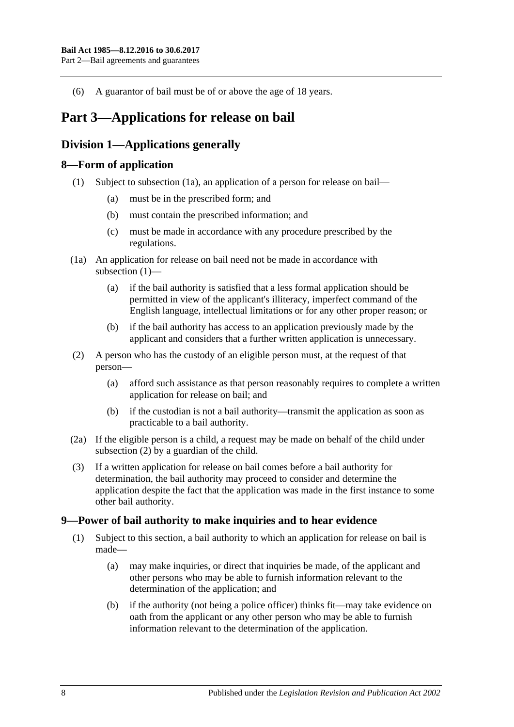(6) A guarantor of bail must be of or above the age of 18 years.

## <span id="page-7-0"></span>**Part 3—Applications for release on bail**

### <span id="page-7-1"></span>**Division 1—Applications generally**

### <span id="page-7-5"></span><span id="page-7-2"></span>**8—Form of application**

- (1) Subject to [subsection](#page-7-4) (1a), an application of a person for release on bail—
	- (a) must be in the prescribed form; and
	- (b) must contain the prescribed information; and
	- (c) must be made in accordance with any procedure prescribed by the regulations.
- <span id="page-7-4"></span>(1a) An application for release on bail need not be made in accordance with [subsection](#page-7-5) (1)—
	- (a) if the bail authority is satisfied that a less formal application should be permitted in view of the applicant's illiteracy, imperfect command of the English language, intellectual limitations or for any other proper reason; or
	- (b) if the bail authority has access to an application previously made by the applicant and considers that a further written application is unnecessary.
- <span id="page-7-6"></span>(2) A person who has the custody of an eligible person must, at the request of that person—
	- (a) afford such assistance as that person reasonably requires to complete a written application for release on bail; and
	- (b) if the custodian is not a bail authority—transmit the application as soon as practicable to a bail authority.
- (2a) If the eligible person is a child, a request may be made on behalf of the child under [subsection](#page-7-6) (2) by a guardian of the child.
- (3) If a written application for release on bail comes before a bail authority for determination, the bail authority may proceed to consider and determine the application despite the fact that the application was made in the first instance to some other bail authority.

### <span id="page-7-3"></span>**9—Power of bail authority to make inquiries and to hear evidence**

- <span id="page-7-7"></span>(1) Subject to this section, a bail authority to which an application for release on bail is made—
	- (a) may make inquiries, or direct that inquiries be made, of the applicant and other persons who may be able to furnish information relevant to the determination of the application; and
	- (b) if the authority (not being a police officer) thinks fit—may take evidence on oath from the applicant or any other person who may be able to furnish information relevant to the determination of the application.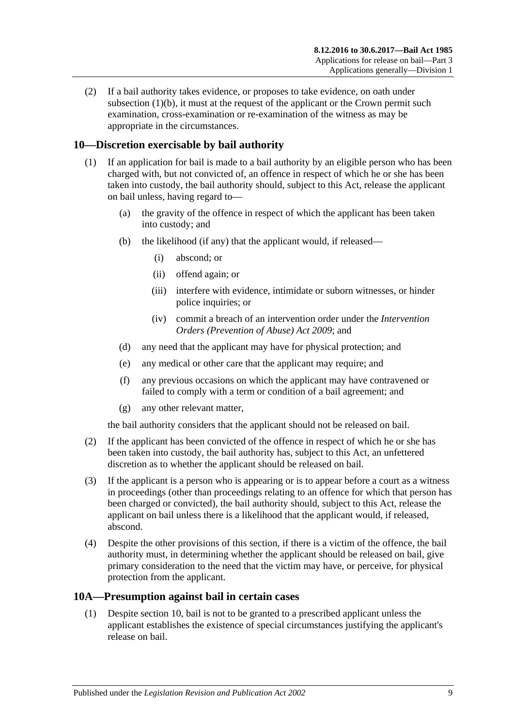(2) If a bail authority takes evidence, or proposes to take evidence, on oath under [subsection](#page-7-7)  $(1)(b)$ , it must at the request of the applicant or the Crown permit such examination, cross-examination or re-examination of the witness as may be appropriate in the circumstances.

### <span id="page-8-0"></span>**10—Discretion exercisable by bail authority**

- (1) If an application for bail is made to a bail authority by an eligible person who has been charged with, but not convicted of, an offence in respect of which he or she has been taken into custody, the bail authority should, subject to this Act, release the applicant on bail unless, having regard to—
	- (a) the gravity of the offence in respect of which the applicant has been taken into custody; and
	- (b) the likelihood (if any) that the applicant would, if released—
		- (i) abscond; or
		- (ii) offend again; or
		- (iii) interfere with evidence, intimidate or suborn witnesses, or hinder police inquiries; or
		- (iv) commit a breach of an intervention order under the *[Intervention](http://www.legislation.sa.gov.au/index.aspx?action=legref&type=act&legtitle=Intervention%20Orders%20(Prevention%20of%20Abuse)%20Act%202009)  [Orders \(Prevention of Abuse\) Act](http://www.legislation.sa.gov.au/index.aspx?action=legref&type=act&legtitle=Intervention%20Orders%20(Prevention%20of%20Abuse)%20Act%202009) 2009*; and
	- (d) any need that the applicant may have for physical protection; and
	- (e) any medical or other care that the applicant may require; and
	- (f) any previous occasions on which the applicant may have contravened or failed to comply with a term or condition of a bail agreement; and
	- (g) any other relevant matter,

the bail authority considers that the applicant should not be released on bail.

- (2) If the applicant has been convicted of the offence in respect of which he or she has been taken into custody, the bail authority has, subject to this Act, an unfettered discretion as to whether the applicant should be released on bail.
- (3) If the applicant is a person who is appearing or is to appear before a court as a witness in proceedings (other than proceedings relating to an offence for which that person has been charged or convicted), the bail authority should, subject to this Act, release the applicant on bail unless there is a likelihood that the applicant would, if released, abscond.
- (4) Despite the other provisions of this section, if there is a victim of the offence, the bail authority must, in determining whether the applicant should be released on bail, give primary consideration to the need that the victim may have, or perceive, for physical protection from the applicant.

### <span id="page-8-2"></span><span id="page-8-1"></span>**10A—Presumption against bail in certain cases**

(1) Despite [section](#page-8-0) 10, bail is not to be granted to a prescribed applicant unless the applicant establishes the existence of special circumstances justifying the applicant's release on bail.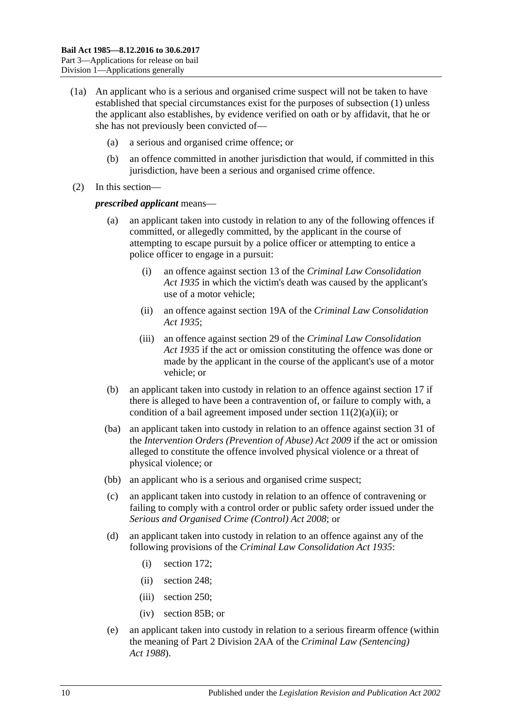- (1a) An applicant who is a serious and organised crime suspect will not be taken to have established that special circumstances exist for the purposes of [subsection](#page-8-2) (1) unless the applicant also establishes, by evidence verified on oath or by affidavit, that he or she has not previously been convicted of—
	- (a) a serious and organised crime offence; or
	- (b) an offence committed in another jurisdiction that would, if committed in this jurisdiction, have been a serious and organised crime offence.
- (2) In this section—

#### *prescribed applicant* means—

- an applicant taken into custody in relation to any of the following offences if committed, or allegedly committed, by the applicant in the course of attempting to escape pursuit by a police officer or attempting to entice a police officer to engage in a pursuit:
	- (i) an offence against section 13 of the *[Criminal Law Consolidation](http://www.legislation.sa.gov.au/index.aspx?action=legref&type=act&legtitle=Criminal%20Law%20Consolidation%20Act%201935)  Act [1935](http://www.legislation.sa.gov.au/index.aspx?action=legref&type=act&legtitle=Criminal%20Law%20Consolidation%20Act%201935)* in which the victim's death was caused by the applicant's use of a motor vehicle;
	- (ii) an offence against section 19A of the *[Criminal Law Consolidation](http://www.legislation.sa.gov.au/index.aspx?action=legref&type=act&legtitle=Criminal%20Law%20Consolidation%20Act%201935)  Act [1935](http://www.legislation.sa.gov.au/index.aspx?action=legref&type=act&legtitle=Criminal%20Law%20Consolidation%20Act%201935)*;
	- (iii) an offence against section 29 of the *[Criminal Law Consolidation](http://www.legislation.sa.gov.au/index.aspx?action=legref&type=act&legtitle=Criminal%20Law%20Consolidation%20Act%201935)  Act [1935](http://www.legislation.sa.gov.au/index.aspx?action=legref&type=act&legtitle=Criminal%20Law%20Consolidation%20Act%201935)* if the act or omission constituting the offence was done or made by the applicant in the course of the applicant's use of a motor vehicle; or
- (b) an applicant taken into custody in relation to an offence against [section](#page-18-1) 17 if there is alleged to have been a contravention of, or failure to comply with, a condition of a bail agreement imposed under section  $11(2)(a)(ii)$ ; or
- (ba) an applicant taken into custody in relation to an offence against section 31 of the *[Intervention Orders \(Prevention of Abuse\) Act](http://www.legislation.sa.gov.au/index.aspx?action=legref&type=act&legtitle=Intervention%20Orders%20(Prevention%20of%20Abuse)%20Act%202009) 2009* if the act or omission alleged to constitute the offence involved physical violence or a threat of physical violence; or
- (bb) an applicant who is a serious and organised crime suspect;
- (c) an applicant taken into custody in relation to an offence of contravening or failing to comply with a control order or public safety order issued under the *[Serious and Organised Crime \(Control\) Act](http://www.legislation.sa.gov.au/index.aspx?action=legref&type=act&legtitle=Serious%20and%20Organised%20Crime%20(Control)%20Act%202008) 2008*; or
- (d) an applicant taken into custody in relation to an offence against any of the following provisions of the *[Criminal Law Consolidation Act](http://www.legislation.sa.gov.au/index.aspx?action=legref&type=act&legtitle=Criminal%20Law%20Consolidation%20Act%201935) 1935*:
	- (i) section 172;
	- (ii) section 248;
	- (iii) section 250;
	- (iv) section 85B; or
- (e) an applicant taken into custody in relation to a serious firearm offence (within the meaning of Part 2 Division 2AA of the *[Criminal Law \(Sentencing\)](http://www.legislation.sa.gov.au/index.aspx?action=legref&type=act&legtitle=Criminal%20Law%20(Sentencing)%20Act%201988)  Act [1988](http://www.legislation.sa.gov.au/index.aspx?action=legref&type=act&legtitle=Criminal%20Law%20(Sentencing)%20Act%201988)*).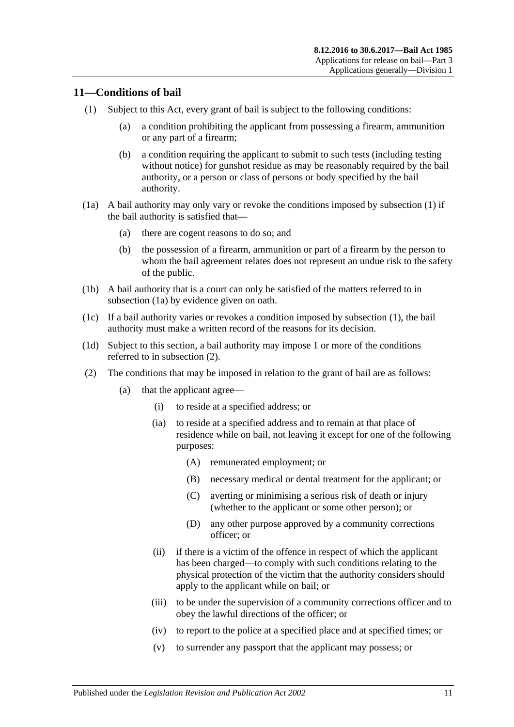### <span id="page-10-2"></span><span id="page-10-0"></span>**11—Conditions of bail**

- <span id="page-10-7"></span>(1) Subject to this Act, every grant of bail is subject to the following conditions:
	- (a) a condition prohibiting the applicant from possessing a firearm, ammunition or any part of a firearm;
	- (b) a condition requiring the applicant to submit to such tests (including testing without notice) for gunshot residue as may be reasonably required by the bail authority, or a person or class of persons or body specified by the bail authority.
- <span id="page-10-3"></span>(1a) A bail authority may only vary or revoke the conditions imposed by [subsection](#page-10-2) (1) if the bail authority is satisfied that—
	- (a) there are cogent reasons to do so; and
	- (b) the possession of a firearm, ammunition or part of a firearm by the person to whom the bail agreement relates does not represent an undue risk to the safety of the public.
- (1b) A bail authority that is a court can only be satisfied of the matters referred to in [subsection](#page-10-3) (1a) by evidence given on oath.
- (1c) If a bail authority varies or revokes a condition imposed by [subsection](#page-10-2) (1), the bail authority must make a written record of the reasons for its decision.
- (1d) Subject to this section, a bail authority may impose 1 or more of the conditions referred to in [subsection](#page-10-4) (2).
- <span id="page-10-6"></span><span id="page-10-5"></span><span id="page-10-4"></span><span id="page-10-1"></span>(2) The conditions that may be imposed in relation to the grant of bail are as follows:
	- (a) that the applicant agree—
		- (i) to reside at a specified address; or
		- (ia) to reside at a specified address and to remain at that place of residence while on bail, not leaving it except for one of the following purposes:
			- (A) remunerated employment; or
			- (B) necessary medical or dental treatment for the applicant; or
			- (C) averting or minimising a serious risk of death or injury (whether to the applicant or some other person); or
			- (D) any other purpose approved by a community corrections officer; or
		- (ii) if there is a victim of the offence in respect of which the applicant has been charged—to comply with such conditions relating to the physical protection of the victim that the authority considers should apply to the applicant while on bail; or
		- (iii) to be under the supervision of a community corrections officer and to obey the lawful directions of the officer; or
		- (iv) to report to the police at a specified place and at specified times; or
		- (v) to surrender any passport that the applicant may possess; or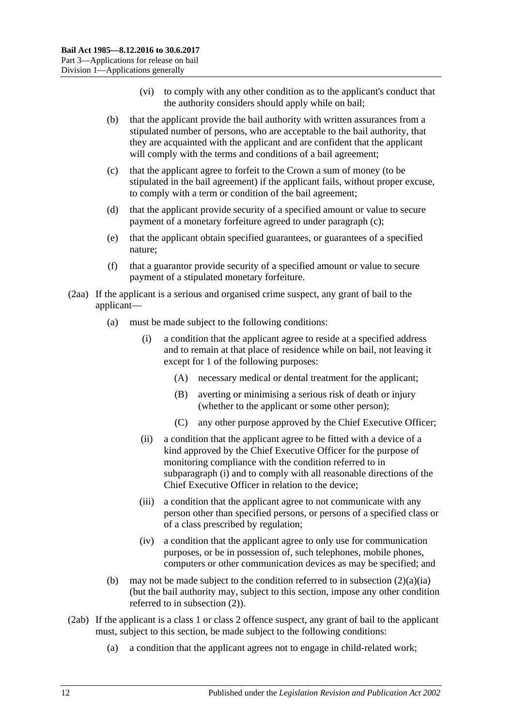- (vi) to comply with any other condition as to the applicant's conduct that the authority considers should apply while on bail;
- (b) that the applicant provide the bail authority with written assurances from a stipulated number of persons, who are acceptable to the bail authority, that they are acquainted with the applicant and are confident that the applicant will comply with the terms and conditions of a bail agreement;
- <span id="page-11-0"></span>(c) that the applicant agree to forfeit to the Crown a sum of money (to be stipulated in the bail agreement) if the applicant fails, without proper excuse, to comply with a term or condition of the bail agreement;
- (d) that the applicant provide security of a specified amount or value to secure payment of a monetary forfeiture agreed to under [paragraph](#page-11-0) (c);
- (e) that the applicant obtain specified guarantees, or guarantees of a specified nature;
- (f) that a guarantor provide security of a specified amount or value to secure payment of a stipulated monetary forfeiture.
- <span id="page-11-1"></span>(2aa) If the applicant is a serious and organised crime suspect, any grant of bail to the applicant—
	- (a) must be made subject to the following conditions:
		- (i) a condition that the applicant agree to reside at a specified address and to remain at that place of residence while on bail, not leaving it except for 1 of the following purposes:
			- (A) necessary medical or dental treatment for the applicant;
			- (B) averting or minimising a serious risk of death or injury (whether to the applicant or some other person);
			- (C) any other purpose approved by the Chief Executive Officer;
		- (ii) a condition that the applicant agree to be fitted with a device of a kind approved by the Chief Executive Officer for the purpose of monitoring compliance with the condition referred to in [subparagraph](#page-11-1) (i) and to comply with all reasonable directions of the Chief Executive Officer in relation to the device;
		- (iii) a condition that the applicant agree to not communicate with any person other than specified persons, or persons of a specified class or of a class prescribed by regulation;
		- (iv) a condition that the applicant agree to only use for communication purposes, or be in possession of, such telephones, mobile phones, computers or other communication devices as may be specified; and
	- (b) may not be made subject to the condition referred to in [subsection](#page-10-5)  $(2)(a)(ia)$ (but the bail authority may, subject to this section, impose any other condition referred to in [subsection](#page-10-4) (2)).
- <span id="page-11-2"></span>(2ab) If the applicant is a class 1 or class 2 offence suspect, any grant of bail to the applicant must, subject to this section, be made subject to the following conditions:
	- (a) a condition that the applicant agrees not to engage in child-related work;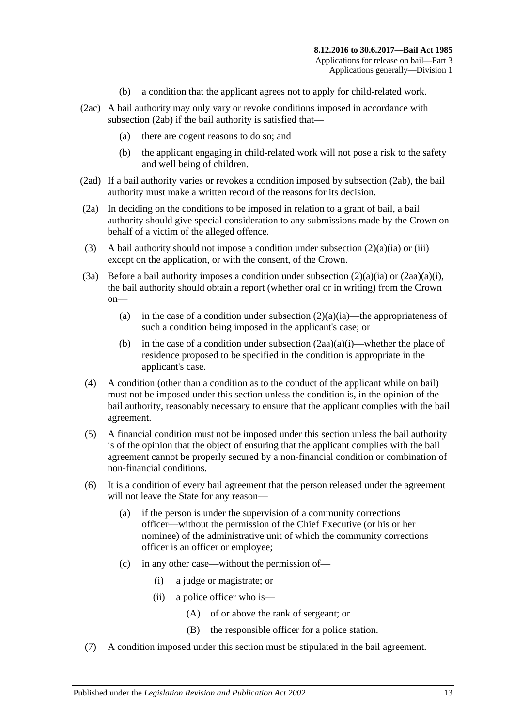- (b) a condition that the applicant agrees not to apply for child-related work.
- (2ac) A bail authority may only vary or revoke conditions imposed in accordance with [subsection](#page-11-2) (2ab) if the bail authority is satisfied that—
	- (a) there are cogent reasons to do so; and
	- (b) the applicant engaging in child-related work will not pose a risk to the safety and well being of children.
- (2ad) If a bail authority varies or revokes a condition imposed by [subsection](#page-11-2) (2ab), the bail authority must make a written record of the reasons for its decision.
- (2a) In deciding on the conditions to be imposed in relation to a grant of bail, a bail authority should give special consideration to any submissions made by the Crown on behalf of a victim of the alleged offence.
- (3) A bail authority should not impose a condition under [subsection](#page-10-5)  $(2)(a)(ia)$  or [\(iii\)](#page-10-6) except on the application, or with the consent, of the Crown.
- (3a) Before a bail authority imposes a condition under [subsection](#page-10-5)  $(2)(a)(ia)$  or  $(2aa)(a)(i)$ , the bail authority should obtain a report (whether oral or in writing) from the Crown on
	- (a) in the case of a condition under [subsection](#page-10-5)  $(2)(a)(ia)$ —the appropriateness of such a condition being imposed in the applicant's case; or
	- (b) in the case of a condition under [subsection](#page-11-1)  $(2aa)(a)(i)$ —whether the place of residence proposed to be specified in the condition is appropriate in the applicant's case.
- (4) A condition (other than a condition as to the conduct of the applicant while on bail) must not be imposed under this section unless the condition is, in the opinion of the bail authority, reasonably necessary to ensure that the applicant complies with the bail agreement.
- (5) A financial condition must not be imposed under this section unless the bail authority is of the opinion that the object of ensuring that the applicant complies with the bail agreement cannot be properly secured by a non-financial condition or combination of non-financial conditions.
- (6) It is a condition of every bail agreement that the person released under the agreement will not leave the State for any reason—
	- (a) if the person is under the supervision of a community corrections officer—without the permission of the Chief Executive (or his or her nominee) of the administrative unit of which the community corrections officer is an officer or employee;
	- (c) in any other case—without the permission of—
		- (i) a judge or magistrate; or
		- (ii) a police officer who is—
			- (A) of or above the rank of sergeant; or
			- (B) the responsible officer for a police station.
- (7) A condition imposed under this section must be stipulated in the bail agreement.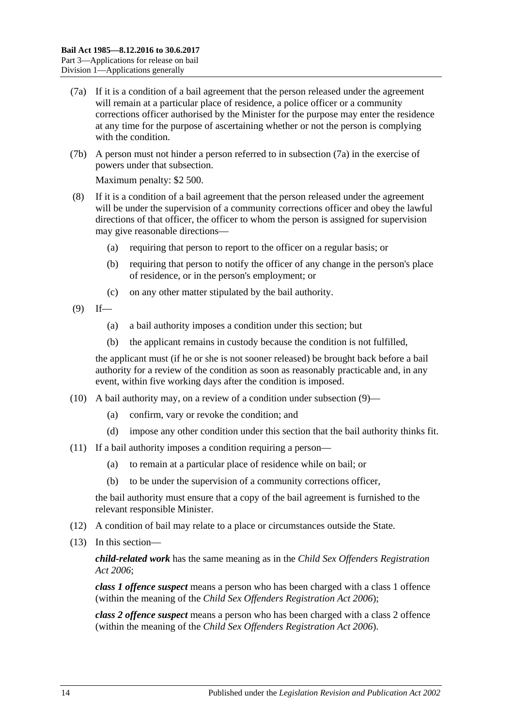- <span id="page-13-0"></span>(7a) If it is a condition of a bail agreement that the person released under the agreement will remain at a particular place of residence, a police officer or a community corrections officer authorised by the Minister for the purpose may enter the residence at any time for the purpose of ascertaining whether or not the person is complying with the condition.
- (7b) A person must not hinder a person referred to in [subsection](#page-13-0) (7a) in the exercise of powers under that subsection.

Maximum penalty: \$2 500.

- (8) If it is a condition of a bail agreement that the person released under the agreement will be under the supervision of a community corrections officer and obey the lawful directions of that officer, the officer to whom the person is assigned for supervision may give reasonable directions—
	- (a) requiring that person to report to the officer on a regular basis; or
	- (b) requiring that person to notify the officer of any change in the person's place of residence, or in the person's employment; or
	- (c) on any other matter stipulated by the bail authority.
- <span id="page-13-1"></span> $(9)$  If—
	- (a) a bail authority imposes a condition under this section; but
	- (b) the applicant remains in custody because the condition is not fulfilled,

the applicant must (if he or she is not sooner released) be brought back before a bail authority for a review of the condition as soon as reasonably practicable and, in any event, within five working days after the condition is imposed.

- (10) A bail authority may, on a review of a condition under [subsection](#page-13-1) (9)—
	- (a) confirm, vary or revoke the condition; and
	- (d) impose any other condition under this section that the bail authority thinks fit.
- (11) If a bail authority imposes a condition requiring a person—
	- (a) to remain at a particular place of residence while on bail; or
	- (b) to be under the supervision of a community corrections officer,

the bail authority must ensure that a copy of the bail agreement is furnished to the relevant responsible Minister.

- (12) A condition of bail may relate to a place or circumstances outside the State.
- (13) In this section—

*child-related work* has the same meaning as in the *[Child Sex Offenders Registration](http://www.legislation.sa.gov.au/index.aspx?action=legref&type=act&legtitle=Child%20Sex%20Offenders%20Registration%20Act%202006)  Act [2006](http://www.legislation.sa.gov.au/index.aspx?action=legref&type=act&legtitle=Child%20Sex%20Offenders%20Registration%20Act%202006)*;

*class 1 offence suspect* means a person who has been charged with a class 1 offence (within the meaning of the *[Child Sex Offenders Registration Act](http://www.legislation.sa.gov.au/index.aspx?action=legref&type=act&legtitle=Child%20Sex%20Offenders%20Registration%20Act%202006) 2006*);

*class 2 offence suspect* means a person who has been charged with a class 2 offence (within the meaning of the *[Child Sex Offenders Registration Act](http://www.legislation.sa.gov.au/index.aspx?action=legref&type=act&legtitle=Child%20Sex%20Offenders%20Registration%20Act%202006) 2006*).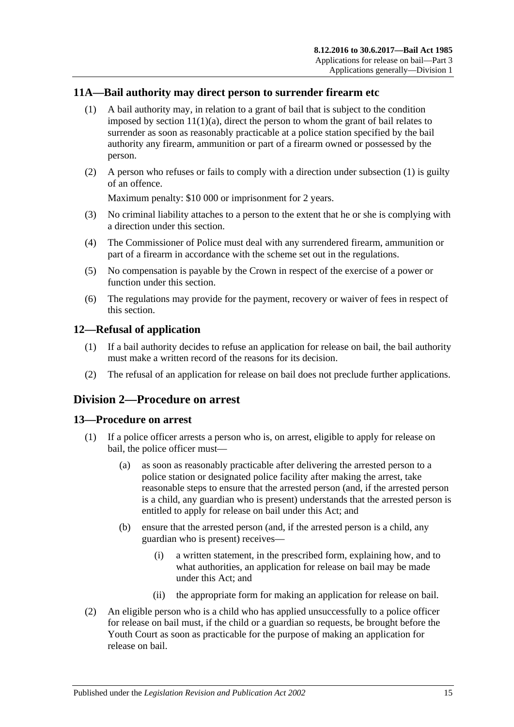### <span id="page-14-4"></span><span id="page-14-0"></span>**11A—Bail authority may direct person to surrender firearm etc**

- (1) A bail authority may, in relation to a grant of bail that is subject to the condition imposed by section  $11(1)(a)$ , direct the person to whom the grant of bail relates to surrender as soon as reasonably practicable at a police station specified by the bail authority any firearm, ammunition or part of a firearm owned or possessed by the person.
- (2) A person who refuses or fails to comply with a direction under [subsection](#page-14-4) (1) is guilty of an offence.

Maximum penalty: \$10 000 or imprisonment for 2 years.

- (3) No criminal liability attaches to a person to the extent that he or she is complying with a direction under this section.
- (4) The Commissioner of Police must deal with any surrendered firearm, ammunition or part of a firearm in accordance with the scheme set out in the regulations.
- (5) No compensation is payable by the Crown in respect of the exercise of a power or function under this section.
- (6) The regulations may provide for the payment, recovery or waiver of fees in respect of this section.

### <span id="page-14-1"></span>**12—Refusal of application**

- (1) If a bail authority decides to refuse an application for release on bail, the bail authority must make a written record of the reasons for its decision.
- (2) The refusal of an application for release on bail does not preclude further applications.

### <span id="page-14-2"></span>**Division 2—Procedure on arrest**

### <span id="page-14-3"></span>**13—Procedure on arrest**

- (1) If a police officer arrests a person who is, on arrest, eligible to apply for release on bail, the police officer must—
	- (a) as soon as reasonably practicable after delivering the arrested person to a police station or designated police facility after making the arrest, take reasonable steps to ensure that the arrested person (and, if the arrested person is a child, any guardian who is present) understands that the arrested person is entitled to apply for release on bail under this Act; and
	- (b) ensure that the arrested person (and, if the arrested person is a child, any guardian who is present) receives—
		- (i) a written statement, in the prescribed form, explaining how, and to what authorities, an application for release on bail may be made under this Act; and
		- (ii) the appropriate form for making an application for release on bail.
- (2) An eligible person who is a child who has applied unsuccessfully to a police officer for release on bail must, if the child or a guardian so requests, be brought before the Youth Court as soon as practicable for the purpose of making an application for release on bail.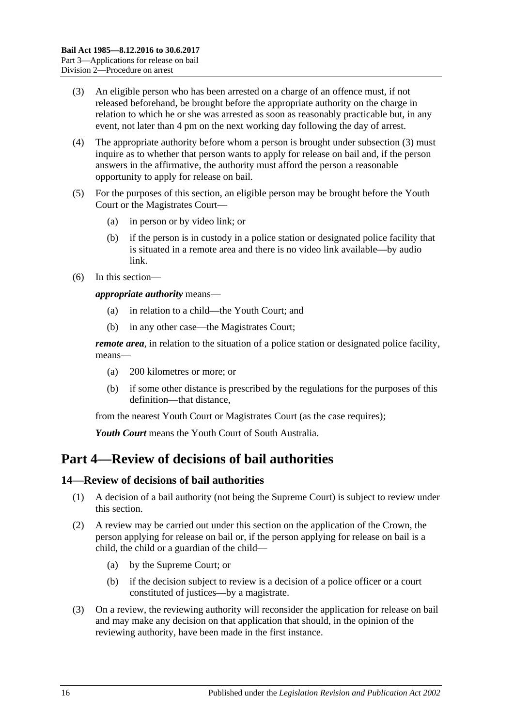- <span id="page-15-2"></span>(3) An eligible person who has been arrested on a charge of an offence must, if not released beforehand, be brought before the appropriate authority on the charge in relation to which he or she was arrested as soon as reasonably practicable but, in any event, not later than 4 pm on the next working day following the day of arrest.
- (4) The appropriate authority before whom a person is brought under [subsection](#page-15-2) (3) must inquire as to whether that person wants to apply for release on bail and, if the person answers in the affirmative, the authority must afford the person a reasonable opportunity to apply for release on bail.
- (5) For the purposes of this section, an eligible person may be brought before the Youth Court or the Magistrates Court—
	- (a) in person or by video link; or
	- (b) if the person is in custody in a police station or designated police facility that is situated in a remote area and there is no video link available—by audio link.
- (6) In this section—

*appropriate authority* means—

- (a) in relation to a child—the Youth Court; and
- (b) in any other case—the Magistrates Court;

*remote area*, in relation to the situation of a police station or designated police facility, means—

- (a) 200 kilometres or more; or
- (b) if some other distance is prescribed by the regulations for the purposes of this definition—that distance,

from the nearest Youth Court or Magistrates Court (as the case requires);

*Youth Court* means the Youth Court of South Australia.

## <span id="page-15-0"></span>**Part 4—Review of decisions of bail authorities**

### <span id="page-15-1"></span>**14—Review of decisions of bail authorities**

- (1) A decision of a bail authority (not being the Supreme Court) is subject to review under this section.
- (2) A review may be carried out under this section on the application of the Crown, the person applying for release on bail or, if the person applying for release on bail is a child, the child or a guardian of the child—
	- (a) by the Supreme Court; or
	- (b) if the decision subject to review is a decision of a police officer or a court constituted of justices—by a magistrate.
- (3) On a review, the reviewing authority will reconsider the application for release on bail and may make any decision on that application that should, in the opinion of the reviewing authority, have been made in the first instance.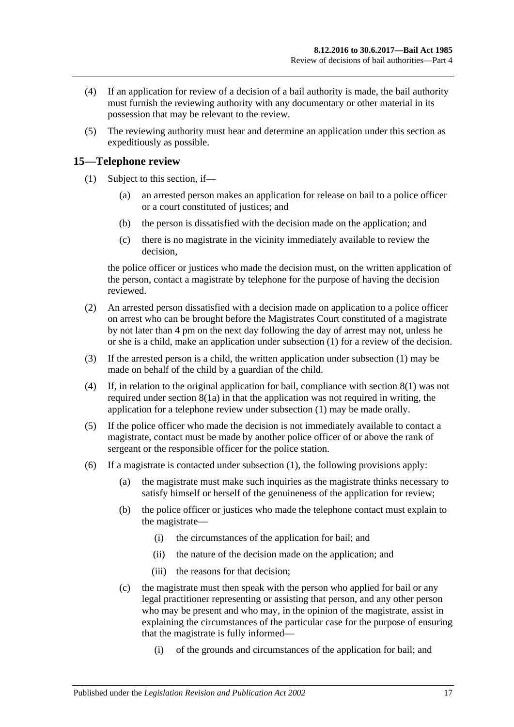- (4) If an application for review of a decision of a bail authority is made, the bail authority must furnish the reviewing authority with any documentary or other material in its possession that may be relevant to the review.
- (5) The reviewing authority must hear and determine an application under this section as expeditiously as possible.

### <span id="page-16-1"></span><span id="page-16-0"></span>**15—Telephone review**

- (1) Subject to this section, if—
	- (a) an arrested person makes an application for release on bail to a police officer or a court constituted of justices; and
	- (b) the person is dissatisfied with the decision made on the application; and
	- (c) there is no magistrate in the vicinity immediately available to review the decision,

the police officer or justices who made the decision must, on the written application of the person, contact a magistrate by telephone for the purpose of having the decision reviewed.

- <span id="page-16-2"></span>(2) An arrested person dissatisfied with a decision made on application to a police officer on arrest who can be brought before the Magistrates Court constituted of a magistrate by not later than 4 pm on the next day following the day of arrest may not, unless he or she is a child, make an application under [subsection](#page-16-1) (1) for a review of the decision.
- (3) If the arrested person is a child, the written application under [subsection](#page-16-1) (1) may be made on behalf of the child by a guardian of the child.
- (4) If, in relation to the original application for bail, compliance with [section](#page-7-5) 8(1) was not required under [section](#page-7-4) 8(1a) in that the application was not required in writing, the application for a telephone review under [subsection](#page-16-1) (1) may be made orally.
- (5) If the police officer who made the decision is not immediately available to contact a magistrate, contact must be made by another police officer of or above the rank of sergeant or the responsible officer for the police station.
- (6) If a magistrate is contacted under [subsection](#page-16-1) (1), the following provisions apply:
	- (a) the magistrate must make such inquiries as the magistrate thinks necessary to satisfy himself or herself of the genuineness of the application for review;
	- (b) the police officer or justices who made the telephone contact must explain to the magistrate—
		- (i) the circumstances of the application for bail; and
		- (ii) the nature of the decision made on the application; and
		- (iii) the reasons for that decision;
	- (c) the magistrate must then speak with the person who applied for bail or any legal practitioner representing or assisting that person, and any other person who may be present and who may, in the opinion of the magistrate, assist in explaining the circumstances of the particular case for the purpose of ensuring that the magistrate is fully informed—
		- (i) of the grounds and circumstances of the application for bail; and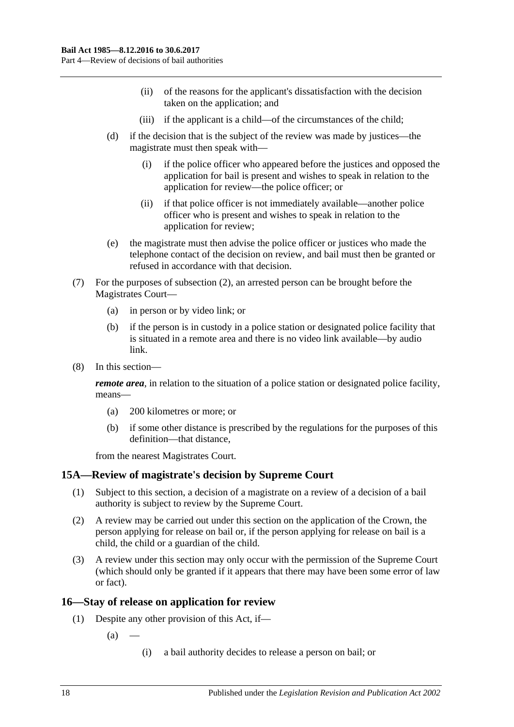- (ii) of the reasons for the applicant's dissatisfaction with the decision taken on the application; and
- (iii) if the applicant is a child—of the circumstances of the child;
- (d) if the decision that is the subject of the review was made by justices—the magistrate must then speak with—
	- (i) if the police officer who appeared before the justices and opposed the application for bail is present and wishes to speak in relation to the application for review—the police officer; or
	- (ii) if that police officer is not immediately available—another police officer who is present and wishes to speak in relation to the application for review;
- (e) the magistrate must then advise the police officer or justices who made the telephone contact of the decision on review, and bail must then be granted or refused in accordance with that decision.
- (7) For the purposes of [subsection](#page-16-2) (2), an arrested person can be brought before the Magistrates Court—
	- (a) in person or by video link; or
	- (b) if the person is in custody in a police station or designated police facility that is situated in a remote area and there is no video link available—by audio link.
- (8) In this section—

*remote area*, in relation to the situation of a police station or designated police facility, means—

- (a) 200 kilometres or more; or
- (b) if some other distance is prescribed by the regulations for the purposes of this definition—that distance,

from the nearest Magistrates Court.

### <span id="page-17-0"></span>**15A—Review of magistrate's decision by Supreme Court**

- (1) Subject to this section, a decision of a magistrate on a review of a decision of a bail authority is subject to review by the Supreme Court.
- (2) A review may be carried out under this section on the application of the Crown, the person applying for release on bail or, if the person applying for release on bail is a child, the child or a guardian of the child.
- (3) A review under this section may only occur with the permission of the Supreme Court (which should only be granted if it appears that there may have been some error of law or fact).

### <span id="page-17-1"></span>**16—Stay of release on application for review**

- (1) Despite any other provision of this Act, if—
	- $(a)$ 
		- (i) a bail authority decides to release a person on bail; or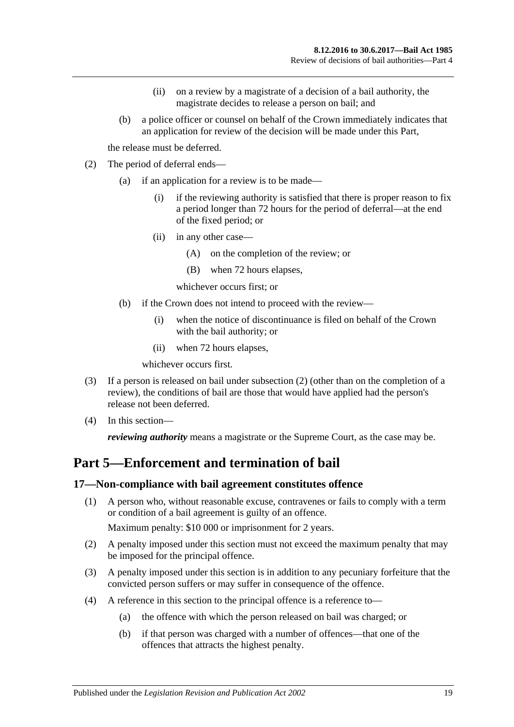- (ii) on a review by a magistrate of a decision of a bail authority, the magistrate decides to release a person on bail; and
- (b) a police officer or counsel on behalf of the Crown immediately indicates that an application for review of the decision will be made under this Part,

the release must be deferred.

- <span id="page-18-2"></span>(2) The period of deferral ends—
	- (a) if an application for a review is to be made—
		- (i) if the reviewing authority is satisfied that there is proper reason to fix a period longer than 72 hours for the period of deferral—at the end of the fixed period; or
		- (ii) in any other case—
			- (A) on the completion of the review; or
			- (B) when 72 hours elapses,

whichever occurs first; or

- (b) if the Crown does not intend to proceed with the review—
	- (i) when the notice of discontinuance is filed on behalf of the Crown with the bail authority; or
	- (ii) when 72 hours elapses,

whichever occurs first.

- (3) If a person is released on bail under [subsection](#page-18-2) (2) (other than on the completion of a review), the conditions of bail are those that would have applied had the person's release not been deferred.
- (4) In this section—

*reviewing authority* means a magistrate or the Supreme Court, as the case may be.

## <span id="page-18-0"></span>**Part 5—Enforcement and termination of bail**

### <span id="page-18-1"></span>**17—Non-compliance with bail agreement constitutes offence**

(1) A person who, without reasonable excuse, contravenes or fails to comply with a term or condition of a bail agreement is guilty of an offence.

Maximum penalty: \$10 000 or imprisonment for 2 years.

- (2) A penalty imposed under this section must not exceed the maximum penalty that may be imposed for the principal offence.
- (3) A penalty imposed under this section is in addition to any pecuniary forfeiture that the convicted person suffers or may suffer in consequence of the offence.
- (4) A reference in this section to the principal offence is a reference to—
	- (a) the offence with which the person released on bail was charged; or
	- (b) if that person was charged with a number of offences—that one of the offences that attracts the highest penalty.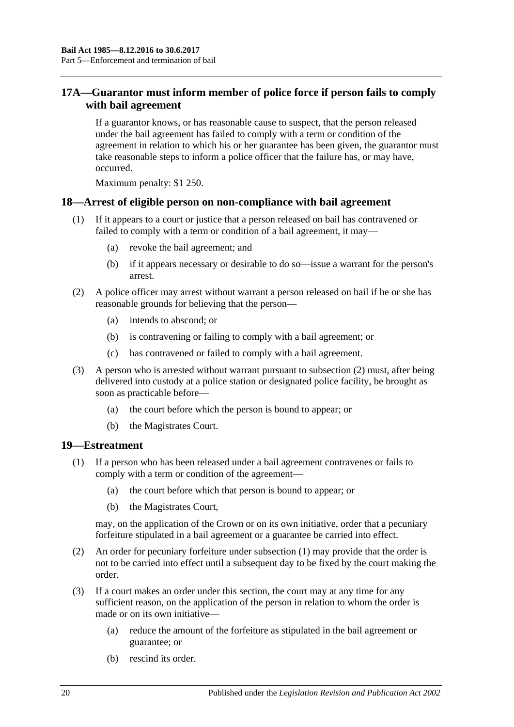### <span id="page-19-0"></span>**17A—Guarantor must inform member of police force if person fails to comply with bail agreement**

If a guarantor knows, or has reasonable cause to suspect, that the person released under the bail agreement has failed to comply with a term or condition of the agreement in relation to which his or her guarantee has been given, the guarantor must take reasonable steps to inform a police officer that the failure has, or may have, occurred.

Maximum penalty: \$1 250.

### <span id="page-19-1"></span>**18—Arrest of eligible person on non-compliance with bail agreement**

- (1) If it appears to a court or justice that a person released on bail has contravened or failed to comply with a term or condition of a bail agreement, it may—
	- (a) revoke the bail agreement; and
	- (b) if it appears necessary or desirable to do so—issue a warrant for the person's arrest.
- <span id="page-19-3"></span>(2) A police officer may arrest without warrant a person released on bail if he or she has reasonable grounds for believing that the person—
	- (a) intends to abscond; or
	- (b) is contravening or failing to comply with a bail agreement; or
	- (c) has contravened or failed to comply with a bail agreement.
- (3) A person who is arrested without warrant pursuant to [subsection](#page-19-3) (2) must, after being delivered into custody at a police station or designated police facility, be brought as soon as practicable before—
	- (a) the court before which the person is bound to appear; or
	- (b) the Magistrates Court.

### <span id="page-19-4"></span><span id="page-19-2"></span>**19—Estreatment**

- (1) If a person who has been released under a bail agreement contravenes or fails to comply with a term or condition of the agreement—
	- (a) the court before which that person is bound to appear; or
	- (b) the Magistrates Court,

may, on the application of the Crown or on its own initiative, order that a pecuniary forfeiture stipulated in a bail agreement or a guarantee be carried into effect.

- (2) An order for pecuniary forfeiture under [subsection](#page-19-4) (1) may provide that the order is not to be carried into effect until a subsequent day to be fixed by the court making the order.
- (3) If a court makes an order under this section, the court may at any time for any sufficient reason, on the application of the person in relation to whom the order is made or on its own initiative—
	- (a) reduce the amount of the forfeiture as stipulated in the bail agreement or guarantee; or
	- (b) rescind its order.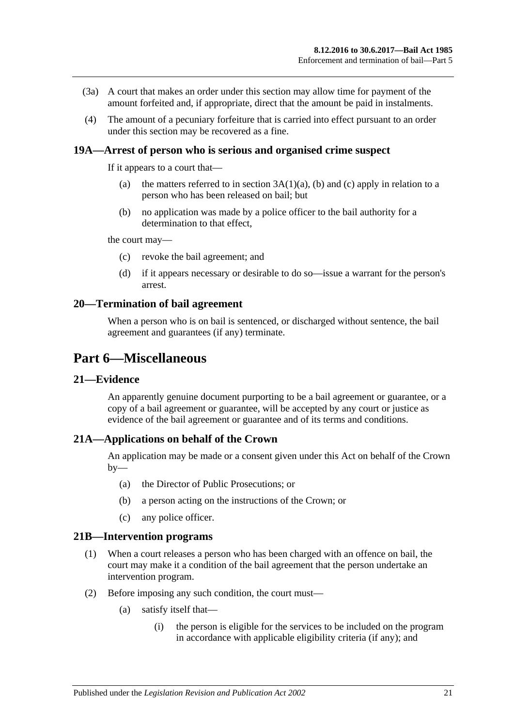- (3a) A court that makes an order under this section may allow time for payment of the amount forfeited and, if appropriate, direct that the amount be paid in instalments.
- (4) The amount of a pecuniary forfeiture that is carried into effect pursuant to an order under this section may be recovered as a fine.

### <span id="page-20-0"></span>**19A—Arrest of person who is serious and organised crime suspect**

If it appears to a court that—

- (a) the matters referred to in section  $3A(1)(a)$ , [\(b\)](#page-3-5) and [\(c\)](#page-3-6) apply in relation to a person who has been released on bail; but
- (b) no application was made by a police officer to the bail authority for a determination to that effect,

the court may—

- (c) revoke the bail agreement; and
- (d) if it appears necessary or desirable to do so—issue a warrant for the person's arrest.

### <span id="page-20-1"></span>**20—Termination of bail agreement**

When a person who is on bail is sentenced, or discharged without sentence, the bail agreement and guarantees (if any) terminate.

### <span id="page-20-2"></span>**Part 6—Miscellaneous**

### <span id="page-20-3"></span>**21—Evidence**

An apparently genuine document purporting to be a bail agreement or guarantee, or a copy of a bail agreement or guarantee, will be accepted by any court or justice as evidence of the bail agreement or guarantee and of its terms and conditions.

### <span id="page-20-4"></span>**21A—Applications on behalf of the Crown**

An application may be made or a consent given under this Act on behalf of the Crown  $by-$ 

- (a) the Director of Public Prosecutions; or
- (b) a person acting on the instructions of the Crown; or
- (c) any police officer.

#### <span id="page-20-5"></span>**21B—Intervention programs**

- (1) When a court releases a person who has been charged with an offence on bail, the court may make it a condition of the bail agreement that the person undertake an intervention program.
- (2) Before imposing any such condition, the court must—
	- (a) satisfy itself that—
		- (i) the person is eligible for the services to be included on the program in accordance with applicable eligibility criteria (if any); and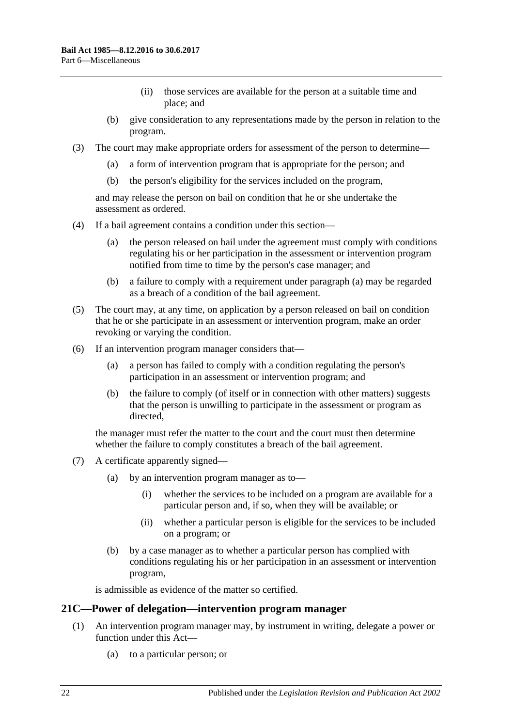- (ii) those services are available for the person at a suitable time and place; and
- (b) give consideration to any representations made by the person in relation to the program.
- (3) The court may make appropriate orders for assessment of the person to determine—
	- (a) a form of intervention program that is appropriate for the person; and
	- (b) the person's eligibility for the services included on the program,

and may release the person on bail on condition that he or she undertake the assessment as ordered.

- <span id="page-21-1"></span>(4) If a bail agreement contains a condition under this section—
	- (a) the person released on bail under the agreement must comply with conditions regulating his or her participation in the assessment or intervention program notified from time to time by the person's case manager; and
	- (b) a failure to comply with a requirement under [paragraph](#page-21-1) (a) may be regarded as a breach of a condition of the bail agreement.
- (5) The court may, at any time, on application by a person released on bail on condition that he or she participate in an assessment or intervention program, make an order revoking or varying the condition.
- (6) If an intervention program manager considers that—
	- (a) a person has failed to comply with a condition regulating the person's participation in an assessment or intervention program; and
	- (b) the failure to comply (of itself or in connection with other matters) suggests that the person is unwilling to participate in the assessment or program as directed,

the manager must refer the matter to the court and the court must then determine whether the failure to comply constitutes a breach of the bail agreement.

- (7) A certificate apparently signed—
	- (a) by an intervention program manager as to—
		- (i) whether the services to be included on a program are available for a particular person and, if so, when they will be available; or
		- (ii) whether a particular person is eligible for the services to be included on a program; or
	- (b) by a case manager as to whether a particular person has complied with conditions regulating his or her participation in an assessment or intervention program,

is admissible as evidence of the matter so certified.

### <span id="page-21-0"></span>**21C—Power of delegation—intervention program manager**

- (1) An intervention program manager may, by instrument in writing, delegate a power or function under this Act—
	- (a) to a particular person; or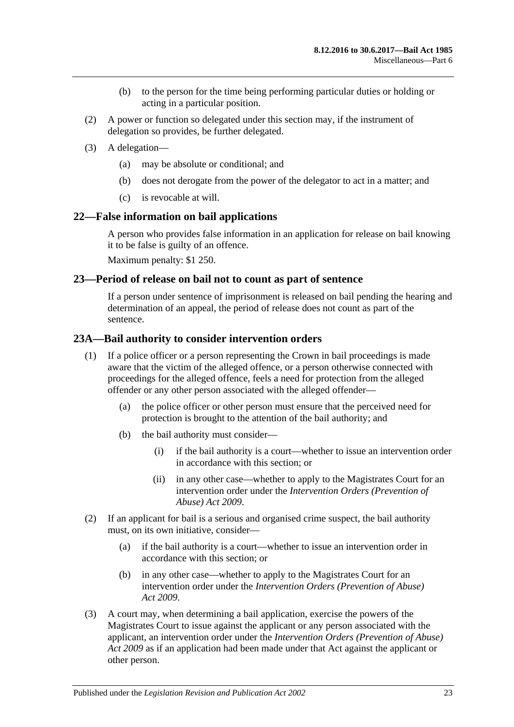- (b) to the person for the time being performing particular duties or holding or acting in a particular position.
- (2) A power or function so delegated under this section may, if the instrument of delegation so provides, be further delegated.
- (3) A delegation—
	- (a) may be absolute or conditional; and
	- (b) does not derogate from the power of the delegator to act in a matter; and
	- (c) is revocable at will.

### <span id="page-22-0"></span>**22—False information on bail applications**

A person who provides false information in an application for release on bail knowing it to be false is guilty of an offence.

Maximum penalty: \$1 250.

### <span id="page-22-1"></span>**23—Period of release on bail not to count as part of sentence**

If a person under sentence of imprisonment is released on bail pending the hearing and determination of an appeal, the period of release does not count as part of the sentence.

### <span id="page-22-2"></span>**23A—Bail authority to consider intervention orders**

- (1) If a police officer or a person representing the Crown in bail proceedings is made aware that the victim of the alleged offence, or a person otherwise connected with proceedings for the alleged offence, feels a need for protection from the alleged offender or any other person associated with the alleged offender—
	- (a) the police officer or other person must ensure that the perceived need for protection is brought to the attention of the bail authority; and
	- (b) the bail authority must consider—
		- (i) if the bail authority is a court—whether to issue an intervention order in accordance with this section; or
		- (ii) in any other case—whether to apply to the Magistrates Court for an intervention order under the *[Intervention Orders \(Prevention of](http://www.legislation.sa.gov.au/index.aspx?action=legref&type=act&legtitle=Intervention%20Orders%20(Prevention%20of%20Abuse)%20Act%202009)  [Abuse\) Act](http://www.legislation.sa.gov.au/index.aspx?action=legref&type=act&legtitle=Intervention%20Orders%20(Prevention%20of%20Abuse)%20Act%202009) 2009*.
- (2) If an applicant for bail is a serious and organised crime suspect, the bail authority must, on its own initiative, consider—
	- (a) if the bail authority is a court—whether to issue an intervention order in accordance with this section; or
	- (b) in any other case—whether to apply to the Magistrates Court for an intervention order under the *[Intervention Orders \(Prevention of Abuse\)](http://www.legislation.sa.gov.au/index.aspx?action=legref&type=act&legtitle=Intervention%20Orders%20(Prevention%20of%20Abuse)%20Act%202009)  Act [2009](http://www.legislation.sa.gov.au/index.aspx?action=legref&type=act&legtitle=Intervention%20Orders%20(Prevention%20of%20Abuse)%20Act%202009)*.
- (3) A court may, when determining a bail application, exercise the powers of the Magistrates Court to issue against the applicant or any person associated with the applicant, an intervention order under the *[Intervention Orders \(Prevention of Abuse\)](http://www.legislation.sa.gov.au/index.aspx?action=legref&type=act&legtitle=Intervention%20Orders%20(Prevention%20of%20Abuse)%20Act%202009)  Act [2009](http://www.legislation.sa.gov.au/index.aspx?action=legref&type=act&legtitle=Intervention%20Orders%20(Prevention%20of%20Abuse)%20Act%202009)* as if an application had been made under that Act against the applicant or other person.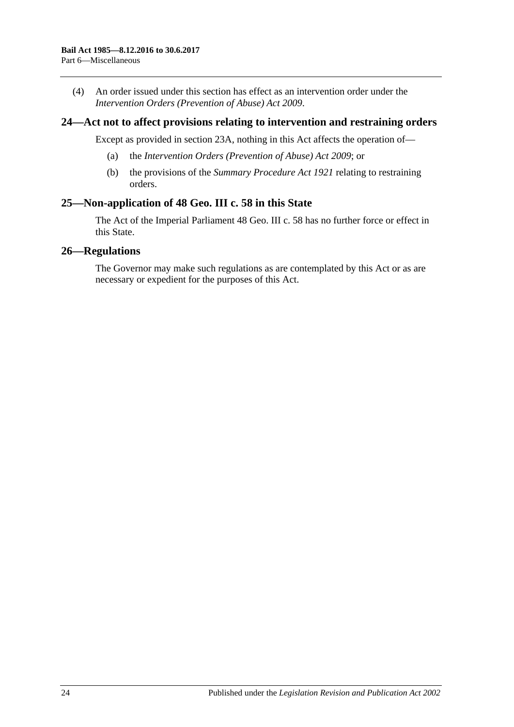(4) An order issued under this section has effect as an intervention order under the *[Intervention Orders \(Prevention of Abuse\) Act](http://www.legislation.sa.gov.au/index.aspx?action=legref&type=act&legtitle=Intervention%20Orders%20(Prevention%20of%20Abuse)%20Act%202009) 2009*.

### <span id="page-23-0"></span>**24—Act not to affect provisions relating to intervention and restraining orders**

Except as provided in [section](#page-22-2) 23A, nothing in this Act affects the operation of—

- (a) the *[Intervention Orders \(Prevention of Abuse\) Act](http://www.legislation.sa.gov.au/index.aspx?action=legref&type=act&legtitle=Intervention%20Orders%20(Prevention%20of%20Abuse)%20Act%202009) 2009*; or
- (b) the provisions of the *[Summary Procedure Act](http://www.legislation.sa.gov.au/index.aspx?action=legref&type=act&legtitle=Summary%20Procedure%20Act%201921) 1921* relating to restraining orders.

### <span id="page-23-1"></span>**25—Non-application of 48 Geo. III c. 58 in this State**

The Act of the Imperial Parliament 48 Geo. III c. 58 has no further force or effect in this State.

### <span id="page-23-2"></span>**26—Regulations**

The Governor may make such regulations as are contemplated by this Act or as are necessary or expedient for the purposes of this Act.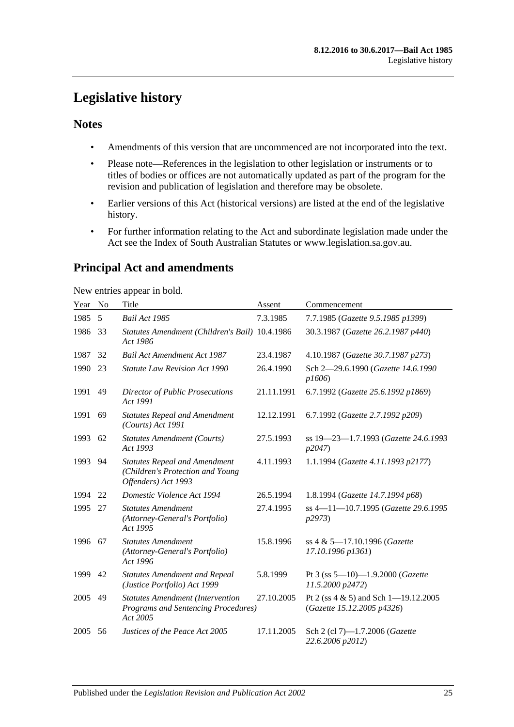## <span id="page-24-0"></span>**Legislative history**

### **Notes**

- Amendments of this version that are uncommenced are not incorporated into the text.
- Please note—References in the legislation to other legislation or instruments or to titles of bodies or offices are not automatically updated as part of the program for the revision and publication of legislation and therefore may be obsolete.
- Earlier versions of this Act (historical versions) are listed at the end of the legislative history.
- For further information relating to the Act and subordinate legislation made under the Act see the Index of South Australian Statutes or www.legislation.sa.gov.au.

## **Principal Act and amendments**

New entries appear in bold.

| Year | No | Title                                                                                           | Assent     | Commencement                                                           |
|------|----|-------------------------------------------------------------------------------------------------|------------|------------------------------------------------------------------------|
| 1985 | 5  | Bail Act 1985                                                                                   | 7.3.1985   | 7.7.1985 (Gazette 9.5.1985 p1399)                                      |
| 1986 | 33 | Statutes Amendment (Children's Bail) 10.4.1986<br>Act 1986                                      |            | 30.3.1987 (Gazette 26.2.1987 p440)                                     |
| 1987 | 32 | <b>Bail Act Amendment Act 1987</b>                                                              | 23.4.1987  | 4.10.1987 (Gazette 30.7.1987 p273)                                     |
| 1990 | 23 | <b>Statute Law Revision Act 1990</b>                                                            | 26.4.1990  | Sch 2-29.6.1990 (Gazette 14.6.1990<br>p1606                            |
| 1991 | 49 | <b>Director of Public Prosecutions</b><br>Act 1991                                              | 21.11.1991 | 6.7.1992 (Gazette 25.6.1992 p1869)                                     |
| 1991 | 69 | <b>Statutes Repeal and Amendment</b><br>(Courts) Act 1991                                       | 12.12.1991 | 6.7.1992 (Gazette 2.7.1992 p209)                                       |
| 1993 | 62 | <b>Statutes Amendment (Courts)</b><br>Act 1993                                                  | 27.5.1993  | ss 19-23-1.7.1993 (Gazette 24.6.1993<br>p2047                          |
| 1993 | 94 | <b>Statutes Repeal and Amendment</b><br>(Children's Protection and Young<br>Offenders) Act 1993 | 4.11.1993  | 1.1.1994 (Gazette 4.11.1993 p2177)                                     |
| 1994 | 22 | Domestic Violence Act 1994                                                                      | 26.5.1994  | 1.8.1994 (Gazette 14.7.1994 p68)                                       |
| 1995 | 27 | <b>Statutes Amendment</b><br>(Attorney-General's Portfolio)<br>Act 1995                         | 27.4.1995  | ss 4-11-10.7.1995 (Gazette 29.6.1995<br>p2973                          |
| 1996 | 67 | <b>Statutes Amendment</b><br>(Attorney-General's Portfolio)<br>Act 1996                         | 15.8.1996  | ss 4 & 5-17.10.1996 (Gazette<br>17.10.1996 p1361)                      |
| 1999 | 42 | <b>Statutes Amendment and Repeal</b><br>(Justice Portfolio) Act 1999                            | 5.8.1999   | Pt 3 (ss $5-10$ )-1.9.2000 (Gazette<br>11.5.2000 p2472)                |
| 2005 | 49 | <b>Statutes Amendment (Intervention</b><br>Programs and Sentencing Procedures)<br>Act 2005      | 27.10.2005 | Pt 2 (ss $4 \& 5$ ) and Sch 1-19.12.2005<br>(Gazette 15.12.2005 p4326) |
| 2005 | 56 | Justices of the Peace Act 2005                                                                  | 17.11.2005 | Sch 2 (cl 7)-1.7.2006 (Gazette<br>22.6.2006 p2012)                     |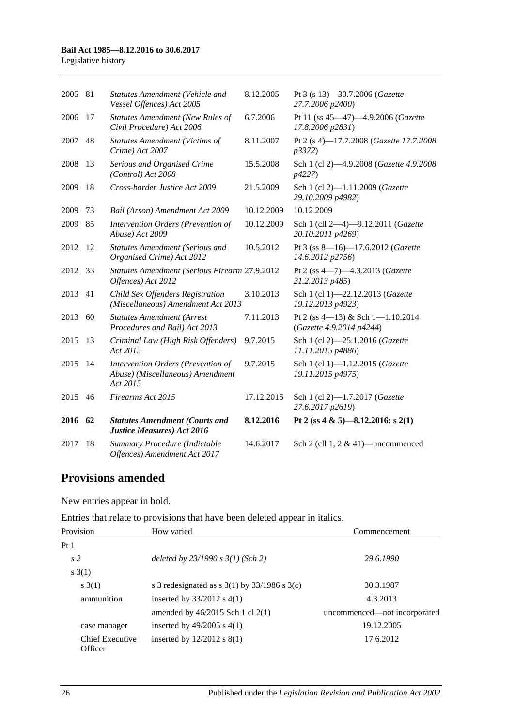#### **Bail Act 1985—8.12.2016 to 30.6.2017**

Legislative history

| 2005 | 81 | Statutes Amendment (Vehicle and<br>Vessel Offences) Act 2005                       | 8.12.2005  | Pt 3 (s 13)-30.7.2006 (Gazette<br>27.7.2006 p2400)           |
|------|----|------------------------------------------------------------------------------------|------------|--------------------------------------------------------------|
| 2006 | 17 | <b>Statutes Amendment (New Rules of</b><br>Civil Procedure) Act 2006               | 6.7.2006   | Pt 11 (ss 45-47)-4.9.2006 (Gazette<br>17.8.2006 p2831)       |
| 2007 | 48 | <b>Statutes Amendment (Victims of</b><br>Crime) Act 2007                           | 8.11.2007  | Pt 2 (s 4)-17.7.2008 (Gazette 17.7.2008<br>p3372)            |
| 2008 | 13 | Serious and Organised Crime<br>(Control) Act 2008                                  | 15.5.2008  | Sch 1 (cl 2)-4.9.2008 (Gazette 4.9.2008<br><i>p4227</i> )    |
| 2009 | 18 | Cross-border Justice Act 2009                                                      | 21.5.2009  | Sch 1 (cl 2)-1.11.2009 (Gazette<br>29.10.2009 p4982)         |
| 2009 | 73 | Bail (Arson) Amendment Act 2009                                                    | 10.12.2009 | 10.12.2009                                                   |
| 2009 | 85 | Intervention Orders (Prevention of<br>Abuse) Act 2009                              | 10.12.2009 | Sch 1 (cll 2-4)-9.12.2011 (Gazette<br>20.10.2011 p4269)      |
| 2012 | 12 | <b>Statutes Amendment (Serious and</b><br>Organised Crime) Act 2012                | 10.5.2012  | Pt 3 (ss 8-16)-17.6.2012 (Gazette<br>14.6.2012 p2756)        |
| 2012 | 33 | Statutes Amendment (Serious Firearm 27.9.2012<br>Offences) Act 2012                |            | Pt 2 (ss 4-7)-4.3.2013 (Gazette<br>21.2.2013 p485)           |
| 2013 | 41 | Child Sex Offenders Registration<br>(Miscellaneous) Amendment Act 2013             | 3.10.2013  | Sch 1 (cl 1)-22.12.2013 (Gazette<br>19.12.2013 p4923)        |
| 2013 | 60 | <b>Statutes Amendment (Arrest</b><br>Procedures and Bail) Act 2013                 | 7.11.2013  | Pt 2 (ss 4-13) & Sch 1-1.10.2014<br>(Gazette 4.9.2014 p4244) |
| 2015 | 13 | Criminal Law (High Risk Offenders)<br>Act 2015                                     | 9.7.2015   | Sch 1 (cl 2)-25.1.2016 (Gazette<br>11.11.2015 p4886)         |
| 2015 | 14 | Intervention Orders (Prevention of<br>Abuse) (Miscellaneous) Amendment<br>Act 2015 | 9.7.2015   | Sch 1 (cl 1)-1.12.2015 (Gazette<br>19.11.2015 p4975)         |
| 2015 | 46 | Firearms Act 2015                                                                  | 17.12.2015 | Sch 1 (cl 2)-1.7.2017 (Gazette<br>27.6.2017 p2619)           |
| 2016 | 62 | <b>Statutes Amendment (Courts and</b><br><b>Justice Measures) Act 2016</b>         | 8.12.2016  | Pt 2 (ss 4 & 5)-8.12.2016: s 2(1)                            |
| 2017 | 18 | Summary Procedure (Indictable<br>Offences) Amendment Act 2017                      | 14.6.2017  | Sch 2 (cll $1, 2 \& 41$ )—uncommenced                        |

### **Provisions amended**

New entries appear in bold.

Entries that relate to provisions that have been deleted appear in italics.

| Provision                  | How varied                                         | Commencement                 |
|----------------------------|----------------------------------------------------|------------------------------|
| Pt 1                       |                                                    |                              |
| s <sub>2</sub>             | deleted by $23/1990 s 3(1)$ (Sch 2)                | 29.6.1990                    |
| s(3(1))                    |                                                    |                              |
| s(1)                       | s 3 redesignated as s $3(1)$ by $33/1986$ s $3(c)$ | 30.3.1987                    |
| ammunition                 | inserted by $33/2012$ s 4(1)                       | 4.3.2013                     |
|                            | amended by $46/2015$ Sch 1 cl 2(1)                 | uncommenced—not incorporated |
| case manager               | inserted by $49/2005$ s $4(1)$                     | 19.12.2005                   |
| Chief Executive<br>Officer | inserted by $12/2012$ s $8(1)$                     | 17.6.2012                    |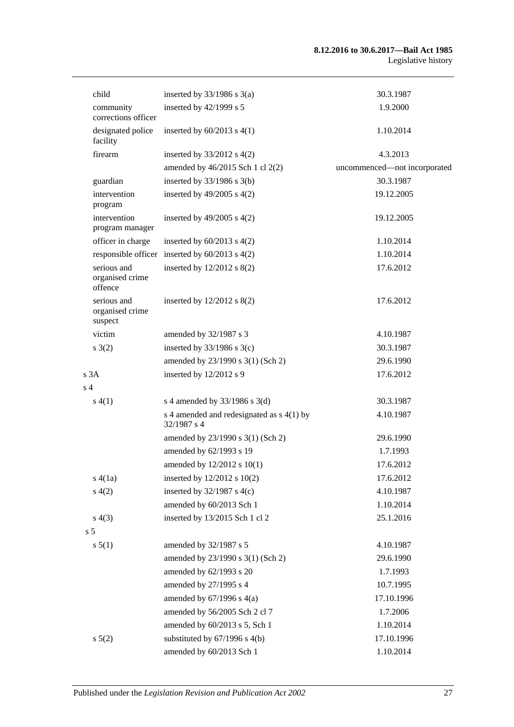| child                                     | inserted by $33/1986$ s $3(a)$                             | 30.3.1987                    |
|-------------------------------------------|------------------------------------------------------------|------------------------------|
| community<br>corrections officer          | inserted by 42/1999 s 5                                    | 1.9.2000                     |
| designated police<br>facility             | inserted by $60/2013$ s $4(1)$                             | 1.10.2014                    |
| firearm                                   | inserted by $33/2012$ s $4(2)$                             | 4.3.2013                     |
|                                           | amended by 46/2015 Sch 1 cl 2(2)                           | uncommenced-not incorporated |
| guardian                                  | inserted by $33/1986$ s $3(b)$                             | 30.3.1987                    |
| intervention<br>program                   | inserted by $49/2005$ s $4(2)$                             | 19.12.2005                   |
| intervention<br>program manager           | inserted by $49/2005$ s $4(2)$                             | 19.12.2005                   |
| officer in charge                         | inserted by $60/2013$ s $4(2)$                             | 1.10.2014                    |
|                                           | responsible officer inserted by $60/2013$ s $4(2)$         | 1.10.2014                    |
| serious and<br>organised crime<br>offence | inserted by $12/2012$ s $8(2)$                             | 17.6.2012                    |
| serious and<br>organised crime<br>suspect | inserted by $12/2012$ s $8(2)$                             | 17.6.2012                    |
| victim                                    | amended by 32/1987 s 3                                     | 4.10.1987                    |
| s(2)                                      | inserted by $33/1986$ s $3(c)$                             | 30.3.1987                    |
|                                           | amended by 23/1990 s 3(1) (Sch 2)                          | 29.6.1990                    |
| s3A                                       | inserted by 12/2012 s 9                                    | 17.6.2012                    |
| s <sub>4</sub>                            |                                                            |                              |
| s(4(1))                                   | s 4 amended by $33/1986$ s 3(d)                            | 30.3.1987                    |
|                                           | s 4 amended and redesignated as $s$ 4(1) by<br>32/1987 s 4 | 4.10.1987                    |
|                                           | amended by 23/1990 s 3(1) (Sch 2)                          | 29.6.1990                    |
|                                           | amended by 62/1993 s 19                                    | 1.7.1993                     |
|                                           | amended by 12/2012 s 10(1)                                 | 17.6.2012                    |
| s(4(1a))                                  | inserted by $12/2012$ s $10(2)$                            | 17.6.2012                    |
| s(4(2)                                    | inserted by $32/1987$ s 4(c)                               | 4.10.1987                    |
|                                           | amended by 60/2013 Sch 1                                   | 1.10.2014                    |
| s(4(3))                                   | inserted by 13/2015 Sch 1 cl 2                             | 25.1.2016                    |
| s <sub>5</sub>                            |                                                            |                              |
| s 5(1)                                    | amended by 32/1987 s 5                                     | 4.10.1987                    |
|                                           | amended by 23/1990 s 3(1) (Sch 2)                          | 29.6.1990                    |
|                                           | amended by 62/1993 s 20                                    | 1.7.1993                     |
|                                           | amended by 27/1995 s 4                                     | 10.7.1995                    |
|                                           | amended by $67/1996$ s $4(a)$                              | 17.10.1996                   |
|                                           | amended by 56/2005 Sch 2 cl 7                              | 1.7.2006                     |
|                                           | amended by 60/2013 s 5, Sch 1                              | 1.10.2014                    |
| $s\ 5(2)$                                 | substituted by $67/1996$ s $4(b)$                          | 17.10.1996                   |
|                                           | amended by 60/2013 Sch 1                                   | 1.10.2014                    |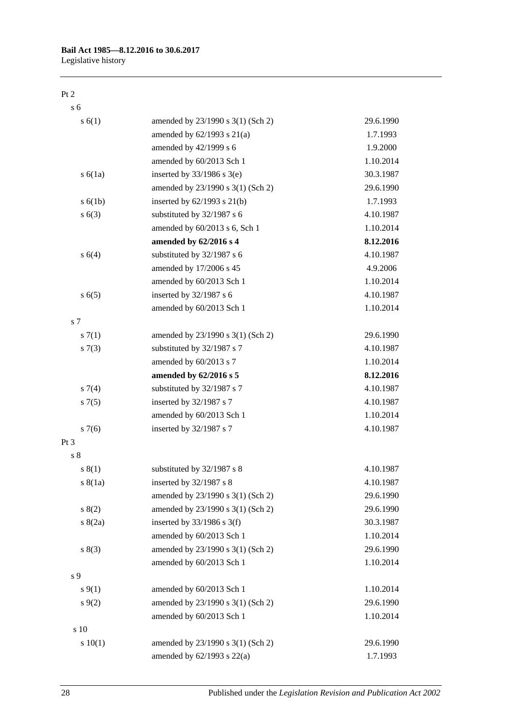### **Bail Act 1985—8.12.2016 to 30.6.2017**

Legislative history

#### Pt 2

s 6 s 6(1) amended by 23/1990 s 3(1) (Sch 2) 29.6.1990 amended by 62/1993 s 21(a) 1.7.1993 amended by 42/1999 s 6 1.9.2000 amended by 60/2013 Sch 1 1.10.2014 s 6(1a) inserted by 33/1986 s 3(e) 30.3.1987 amended by 23/1990 s 3(1) (Sch 2) 29.6.1990 s 6(1b) inserted by 62/1993 s 21(b) 1.7.1993 s 6(3) substituted by 32/1987 s 6 4.10.1987 amended by 60/2013 s 6, Sch 1 1.10.2014 **amended by 62/2016 s 4 8.12.2016** s 6(4) substituted by 32/1987 s 6 4.10.1987 amended by 17/2006 s 45 4.9.2006 amended by 60/2013 Sch 1 1.10.2014 s 6(5) inserted by 32/1987 s 6 4.10.1987 amended by 60/2013 Sch 1 1.10.2014 s 7 s 7(1) amended by 23/1990 s 3(1) (Sch 2) 29.6.1990 s 7(3) substituted by 32/1987 s 7 4.10.1987 amended by 60/2013 s 7 1.10.2014 **amended by 62/2016 s 5 8.12.2016** s 7(4) substituted by 32/1987 s 7 4.10.1987 s 7(5) inserted by 32/1987 s 7 4.10.1987 amended by 60/2013 Sch 1 1.10.2014 s 7(6) inserted by 32/1987 s 7 4.10.1987 Pt 3 s 8 s 8(1) substituted by 32/1987 s 8 4.10.1987 s 8(1a) inserted by 32/1987 s 8 4.10.1987 amended by 23/1990 s 3(1) (Sch 2) 29.6.1990 s 8(2) amended by 23/1990 s 3(1) (Sch 2) 29.6.1990 s 8(2a) inserted by 33/1986 s 3(f) 30.3.1987 amended by 60/2013 Sch 1 1.10.2014 s 8(3) amended by 23/1990 s 3(1) (Sch 2) 29.6.1990 amended by 60/2013 Sch 1 1.10.2014 s 9 s 9(1) amended by 60/2013 Sch 1 1.10.2014 s 9(2) amended by 23/1990 s 3(1) (Sch 2) 29.6.1990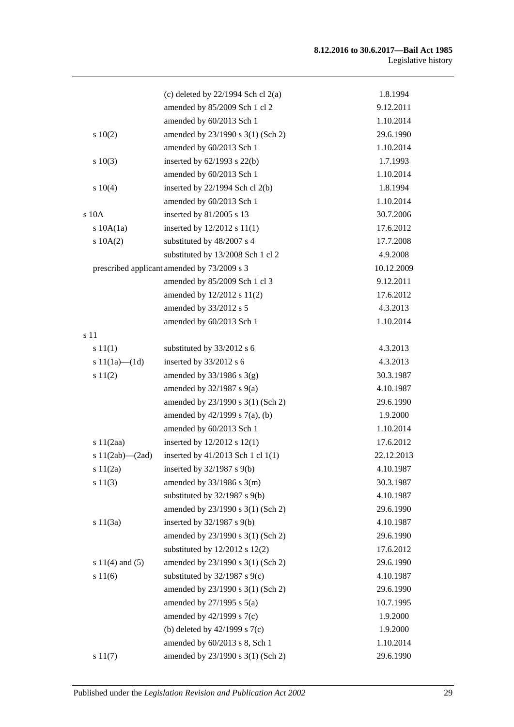#### **8.12.2016 to 30.6.2017—Bail Act 1985** Legislative history

|                       | (c) deleted by $22/1994$ Sch cl $2(a)$      | 1.8.1994   |
|-----------------------|---------------------------------------------|------------|
|                       | amended by 85/2009 Sch 1 cl 2               | 9.12.2011  |
|                       | amended by 60/2013 Sch 1                    | 1.10.2014  |
| 10(2)                 | amended by 23/1990 s 3(1) (Sch 2)           | 29.6.1990  |
|                       | amended by 60/2013 Sch 1                    | 1.10.2014  |
| 10(3)                 | inserted by $62/1993$ s $22(b)$             | 1.7.1993   |
|                       | amended by 60/2013 Sch 1                    | 1.10.2014  |
| s 10(4)               | inserted by $22/1994$ Sch cl $2(b)$         | 1.8.1994   |
|                       | amended by 60/2013 Sch 1                    | 1.10.2014  |
| $s$ 10 $A$            | inserted by 81/2005 s 13                    | 30.7.2006  |
| $s$ 10A $(1a)$        | inserted by 12/2012 s 11(1)                 | 17.6.2012  |
| 10A(2)                | substituted by 48/2007 s 4                  | 17.7.2008  |
|                       | substituted by 13/2008 Sch 1 cl 2           | 4.9.2008   |
|                       | prescribed applicant amended by 73/2009 s 3 | 10.12.2009 |
|                       | amended by 85/2009 Sch 1 cl 3               | 9.12.2011  |
|                       | amended by 12/2012 s 11(2)                  | 17.6.2012  |
|                       | amended by 33/2012 s 5                      | 4.3.2013   |
|                       | amended by 60/2013 Sch 1                    | 1.10.2014  |
| s 11                  |                                             |            |
| s 11(1)               | substituted by 33/2012 s 6                  | 4.3.2013   |
| s $11(1a)$ (1d)       | inserted by 33/2012 s 6                     | 4.3.2013   |
| s 11(2)               | amended by $33/1986$ s $3(g)$               | 30.3.1987  |
|                       | amended by $32/1987$ s $9(a)$               | 4.10.1987  |
|                       | amended by 23/1990 s 3(1) (Sch 2)           | 29.6.1990  |
|                       | amended by 42/1999 s 7(a), (b)              | 1.9.2000   |
|                       | amended by 60/2013 Sch 1                    | 1.10.2014  |
| s $11(2aa)$           | inserted by 12/2012 s 12(1)                 | 17.6.2012  |
| s $11(2ab)$ - $(2ad)$ | inserted by 41/2013 Sch 1 cl 1(1)           | 22.12.2013 |
| s 11(2a)              | inserted by 32/1987 s 9(b)                  | 4.10.1987  |
| s 11(3)               | amended by $33/1986$ s $3(m)$               | 30.3.1987  |
|                       | substituted by 32/1987 s 9(b)               | 4.10.1987  |
|                       | amended by 23/1990 s 3(1) (Sch 2)           | 29.6.1990  |
| s 11(3a)              | inserted by 32/1987 s 9(b)                  | 4.10.1987  |
|                       | amended by 23/1990 s 3(1) (Sch 2)           | 29.6.1990  |
|                       | substituted by $12/2012$ s $12(2)$          | 17.6.2012  |
| s $11(4)$ and $(5)$   | amended by 23/1990 s 3(1) (Sch 2)           | 29.6.1990  |
| s 11(6)               | substituted by $32/1987$ s $9(c)$           | 4.10.1987  |
|                       | amended by 23/1990 s 3(1) (Sch 2)           | 29.6.1990  |
|                       | amended by $27/1995$ s $5(a)$               | 10.7.1995  |
|                       | amended by $42/1999$ s $7(c)$               | 1.9.2000   |
|                       | (b) deleted by $42/1999$ s $7(c)$           | 1.9.2000   |
|                       | amended by 60/2013 s 8, Sch 1               | 1.10.2014  |
| s 11(7)               | amended by 23/1990 s 3(1) (Sch 2)           | 29.6.1990  |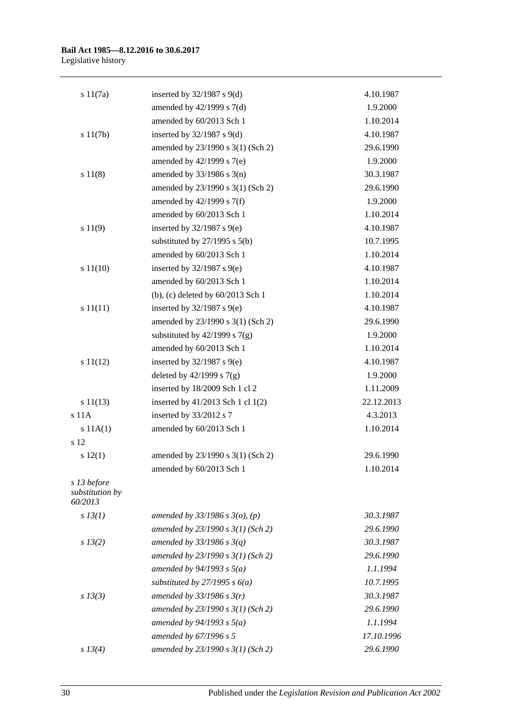#### **Bail Act 1985—8.12.2016 to 30.6.2017** Legislative history

| s 11(7a)                                  | inserted by $32/1987$ s $9(d)$      | 4.10.1987  |
|-------------------------------------------|-------------------------------------|------------|
|                                           | amended by $42/1999$ s $7(d)$       | 1.9.2000   |
|                                           | amended by 60/2013 Sch 1            | 1.10.2014  |
| s 11(7b)                                  | inserted by $32/1987$ s $9(d)$      | 4.10.1987  |
|                                           | amended by 23/1990 s 3(1) (Sch 2)   | 29.6.1990  |
|                                           | amended by 42/1999 s 7(e)           | 1.9.2000   |
| s 11(8)                                   | amended by $33/1986$ s $3(n)$       | 30.3.1987  |
|                                           | amended by 23/1990 s 3(1) (Sch 2)   | 29.6.1990  |
|                                           | amended by 42/1999 s 7(f)           | 1.9.2000   |
|                                           | amended by 60/2013 Sch 1            | 1.10.2014  |
| s 11(9)                                   | inserted by $32/1987$ s $9(e)$      | 4.10.1987  |
|                                           | substituted by $27/1995$ s $5(b)$   | 10.7.1995  |
|                                           | amended by 60/2013 Sch 1            | 1.10.2014  |
| s 11(10)                                  | inserted by $32/1987$ s $9(e)$      | 4.10.1987  |
|                                           | amended by 60/2013 Sch 1            | 1.10.2014  |
|                                           | (b), (c) deleted by 60/2013 Sch 1   | 1.10.2014  |
| s 11(11)                                  | inserted by $32/1987$ s $9(e)$      | 4.10.1987  |
|                                           | amended by 23/1990 s 3(1) (Sch 2)   | 29.6.1990  |
|                                           | substituted by $42/1999$ s $7(g)$   | 1.9.2000   |
|                                           | amended by 60/2013 Sch 1            | 1.10.2014  |
| s 11(12)                                  | inserted by $32/1987$ s $9(e)$      | 4.10.1987  |
|                                           | deleted by $42/1999$ s $7(g)$       | 1.9.2000   |
|                                           | inserted by 18/2009 Sch 1 cl 2      | 1.11.2009  |
| s 11(13)                                  | inserted by 41/2013 Sch 1 cl 1(2)   | 22.12.2013 |
| s 11A                                     | inserted by 33/2012 s 7             | 4.3.2013   |
| s 11A(1)                                  | amended by 60/2013 Sch 1            | 1.10.2014  |
| s 12                                      |                                     |            |
| s 12(1)                                   | amended by 23/1990 s 3(1) (Sch 2)   | 29.6.1990  |
|                                           | amended by 60/2013 Sch 1            | 1.10.2014  |
| s 13 before<br>substitution by<br>60/2013 |                                     |            |
| $s$ 13(1)                                 | amended by $33/1986$ s $3(o)$ , (p) | 30.3.1987  |
|                                           | amended by $23/1990 s 3(1)$ (Sch 2) | 29.6.1990  |
| $s\,13(2)$                                | amended by $33/1986 s 3(q)$         | 30.3.1987  |
|                                           | amended by 23/1990 s 3(1) (Sch 2)   | 29.6.1990  |
|                                           | amended by $94/1993$ s $5(a)$       | 1.1.1994   |
|                                           | substituted by $27/1995 s 6(a)$     | 10.7.1995  |
| $s\,13(3)$                                | amended by $33/1986$ s $3(r)$       | 30.3.1987  |
|                                           | amended by $23/1990 s 3(1)$ (Sch 2) | 29.6.1990  |
|                                           | amended by $94/1993$ s $5(a)$       | 1.1.1994   |
|                                           | amended by 67/1996 s 5              | 17.10.1996 |
| s 13(4)                                   | amended by $23/1990 s 3(1)$ (Sch 2) | 29.6.1990  |
|                                           |                                     |            |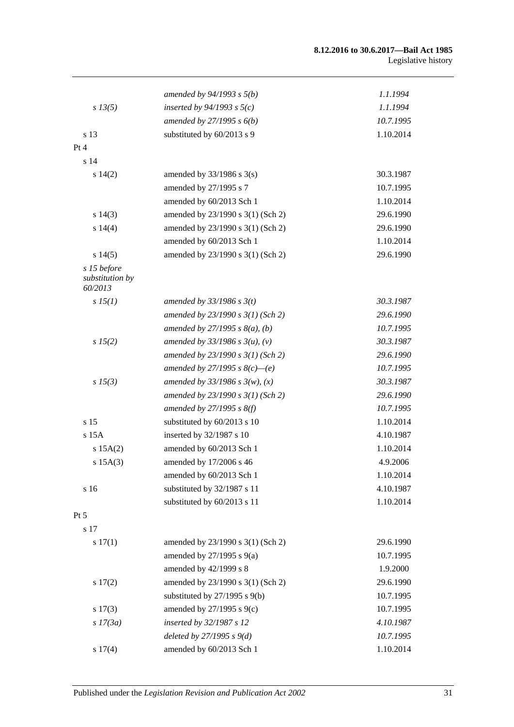#### **8.12.2016 to 30.6.2017—Bail Act 1985** Legislative history

|                                           | amended by $94/1993$ s $5(b)$       | 1.1.1994  |
|-------------------------------------------|-------------------------------------|-----------|
| $s\,13(5)$                                | inserted by $94/1993$ s $5(c)$      | 1.1.1994  |
|                                           | amended by $27/1995 s 6(b)$         | 10.7.1995 |
| s 13                                      | substituted by 60/2013 s 9          | 1.10.2014 |
| Pt 4                                      |                                     |           |
| s 14                                      |                                     |           |
| s 14(2)                                   | amended by $33/1986$ s $3(s)$       | 30.3.1987 |
|                                           | amended by 27/1995 s 7              | 10.7.1995 |
|                                           | amended by 60/2013 Sch 1            | 1.10.2014 |
| $s\ 14(3)$                                | amended by 23/1990 s 3(1) (Sch 2)   | 29.6.1990 |
| s 14(4)                                   | amended by 23/1990 s 3(1) (Sch 2)   | 29.6.1990 |
|                                           | amended by 60/2013 Sch 1            | 1.10.2014 |
| s14(5)                                    | amended by 23/1990 s 3(1) (Sch 2)   | 29.6.1990 |
| s 15 before<br>substitution by<br>60/2013 |                                     |           |
| s 15(1)                                   | amended by $33/1986$ s $3(t)$       | 30.3.1987 |
|                                           | amended by $23/1990 s 3(1)$ (Sch 2) | 29.6.1990 |
|                                           | amended by 27/1995 s $8(a)$ , (b)   | 10.7.1995 |
| s 15(2)                                   | amended by $33/1986 s 3(u)$ , (v)   | 30.3.1987 |
|                                           | amended by $23/1990 s 3(1)$ (Sch 2) | 29.6.1990 |
|                                           | amended by 27/1995 s $8(c)$ —(e)    | 10.7.1995 |
| $s\,15(3)$                                | amended by $33/1986 s 3(w)$ , (x)   | 30.3.1987 |
|                                           | amended by $23/1990 s 3(1)$ (Sch 2) | 29.6.1990 |
|                                           | amended by $27/1995 s 8(f)$         | 10.7.1995 |
| s <sub>15</sub>                           | substituted by 60/2013 s 10         | 1.10.2014 |
| $s$ 15 $A$                                | inserted by 32/1987 s 10            | 4.10.1987 |
| s 15A(2)                                  | amended by 60/2013 Sch 1            | 1.10.2014 |
| s 15A(3)                                  | amended by 17/2006 s 46             | 4.9.2006  |
|                                           | amended by 60/2013 Sch 1            | 1.10.2014 |
| s 16                                      | substituted by 32/1987 s 11         | 4.10.1987 |
|                                           | substituted by 60/2013 s 11         | 1.10.2014 |
| Pt 5                                      |                                     |           |
| s 17                                      |                                     |           |
| s 17(1)                                   | amended by 23/1990 s 3(1) (Sch 2)   | 29.6.1990 |
|                                           | amended by $27/1995$ s $9(a)$       | 10.7.1995 |
|                                           | amended by 42/1999 s 8              | 1.9.2000  |
| s 17(2)                                   | amended by 23/1990 s 3(1) (Sch 2)   | 29.6.1990 |
|                                           | substituted by $27/1995$ s $9(b)$   | 10.7.1995 |
| $s\ 17(3)$                                | amended by $27/1995$ s $9(c)$       | 10.7.1995 |
| $s$ 17(3a)                                | inserted by 32/1987 s 12            | 4.10.1987 |
|                                           | deleted by $27/1995 s 9(d)$         | 10.7.1995 |
| s 17(4)                                   | amended by 60/2013 Sch 1            | 1.10.2014 |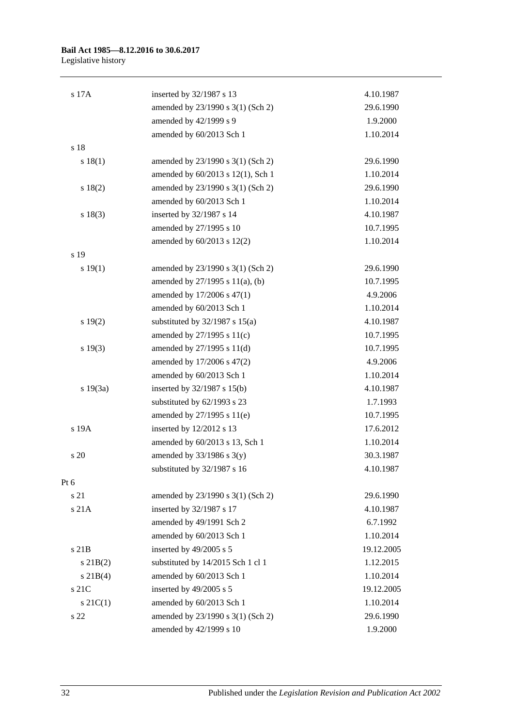## **Bail Act 1985—8.12.2016 to 30.6.2017**

Legislative history

| s 17A         | inserted by 32/1987 s 13           | 4.10.1987  |
|---------------|------------------------------------|------------|
|               | amended by 23/1990 s 3(1) (Sch 2)  | 29.6.1990  |
|               | amended by 42/1999 s 9             | 1.9.2000   |
|               | amended by 60/2013 Sch 1           | 1.10.2014  |
| s 18          |                                    |            |
| s 18(1)       | amended by 23/1990 s 3(1) (Sch 2)  | 29.6.1990  |
|               | amended by 60/2013 s 12(1), Sch 1  | 1.10.2014  |
| s 18(2)       | amended by 23/1990 s 3(1) (Sch 2)  | 29.6.1990  |
|               | amended by 60/2013 Sch 1           | 1.10.2014  |
| s 18(3)       | inserted by 32/1987 s 14           | 4.10.1987  |
|               | amended by 27/1995 s 10            | 10.7.1995  |
|               | amended by 60/2013 s 12(2)         | 1.10.2014  |
| s 19          |                                    |            |
| s 19(1)       | amended by 23/1990 s 3(1) (Sch 2)  | 29.6.1990  |
|               | amended by 27/1995 s 11(a), (b)    | 10.7.1995  |
|               | amended by 17/2006 s 47(1)         | 4.9.2006   |
|               | amended by 60/2013 Sch 1           | 1.10.2014  |
| s 19(2)       | substituted by $32/1987$ s $15(a)$ | 4.10.1987  |
|               | amended by $27/1995$ s $11(c)$     | 10.7.1995  |
| s 19(3)       | amended by 27/1995 s 11(d)         | 10.7.1995  |
|               | amended by 17/2006 s 47(2)         | 4.9.2006   |
|               | amended by 60/2013 Sch 1           | 1.10.2014  |
| s 19(3a)      | inserted by 32/1987 s 15(b)        | 4.10.1987  |
|               | substituted by 62/1993 s 23        | 1.7.1993   |
|               | amended by 27/1995 s 11(e)         | 10.7.1995  |
| s 19A         | inserted by 12/2012 s 13           | 17.6.2012  |
|               | amended by 60/2013 s 13, Sch 1     | 1.10.2014  |
| s 20          | amended by $33/1986$ s $3(y)$      | 30.3.1987  |
|               | substituted by 32/1987 s 16        | 4.10.1987  |
| Pt 6          |                                    |            |
| s 21          | amended by 23/1990 s 3(1) (Sch 2)  | 29.6.1990  |
| s 21A         | inserted by 32/1987 s 17           | 4.10.1987  |
|               | amended by 49/1991 Sch 2           | 6.7.1992   |
|               | amended by 60/2013 Sch 1           | 1.10.2014  |
| $s$ 21B       | inserted by 49/2005 s 5            | 19.12.2005 |
| $s$ 21B(2)    | substituted by 14/2015 Sch 1 cl 1  | 1.12.2015  |
| $s \, 21B(4)$ | amended by 60/2013 Sch 1           | 1.10.2014  |
| s 21C         | inserted by 49/2005 s 5            | 19.12.2005 |
| $s \, 21C(1)$ | amended by 60/2013 Sch 1           | 1.10.2014  |
| s 22          | amended by 23/1990 s 3(1) (Sch 2)  | 29.6.1990  |
|               | amended by 42/1999 s 10            | 1.9.2000   |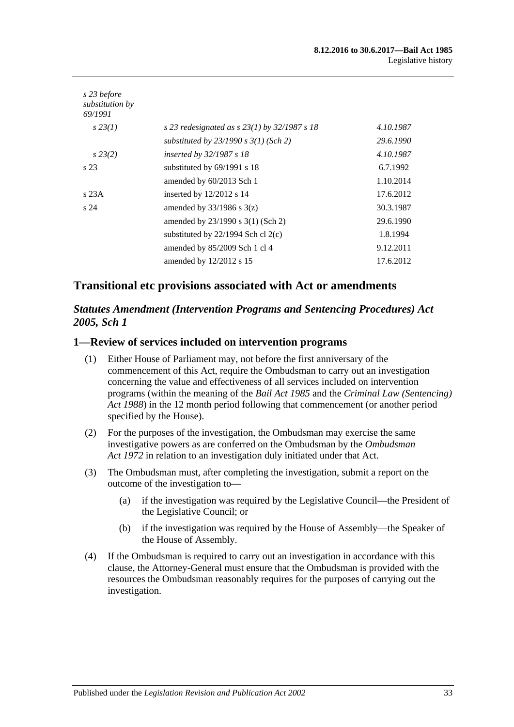| s 23 before<br>substitution by<br>69/1991 |                                                  |           |
|-------------------------------------------|--------------------------------------------------|-----------|
| $s\,23(1)$                                | s 23 redesignated as s $23(1)$ by $32/1987$ s 18 | 4.10.1987 |
|                                           | substituted by $23/1990 s 3(1)$ (Sch 2)          | 29.6.1990 |
| $s\,23(2)$                                | inserted by $32/1987 s 18$                       | 4.10.1987 |
| s <sub>23</sub>                           | substituted by $69/1991$ s 18                    | 6.7.1992  |
|                                           | amended by 60/2013 Sch 1                         | 1.10.2014 |
| s23A                                      | inserted by $12/2012$ s 14                       | 17.6.2012 |
| s <sub>24</sub>                           | amended by $33/1986$ s $3(z)$                    | 30.3.1987 |
|                                           | amended by $23/1990$ s $3(1)$ (Sch 2)            | 29.6.1990 |
|                                           | substituted by $22/1994$ Sch cl $2(c)$           | 1.8.1994  |
|                                           | amended by $85/2009$ Sch 1 cl 4                  | 9.12.2011 |
|                                           | amended by $12/2012$ s 15                        | 17.6.2012 |

### **Transitional etc provisions associated with Act or amendments**

### *Statutes Amendment (Intervention Programs and Sentencing Procedures) Act 2005, Sch 1*

#### **1—Review of services included on intervention programs**

- (1) Either House of Parliament may, not before the first anniversary of the commencement of this Act, require the Ombudsman to carry out an investigation concerning the value and effectiveness of all services included on intervention programs (within the meaning of the *[Bail Act](http://www.legislation.sa.gov.au/index.aspx?action=legref&type=act&legtitle=Bail%20Act%201985) 1985* and the *[Criminal Law \(Sentencing\)](http://www.legislation.sa.gov.au/index.aspx?action=legref&type=act&legtitle=Criminal%20Law%20(Sentencing)%20Act%201988)  Act [1988](http://www.legislation.sa.gov.au/index.aspx?action=legref&type=act&legtitle=Criminal%20Law%20(Sentencing)%20Act%201988)*) in the 12 month period following that commencement (or another period specified by the House).
- (2) For the purposes of the investigation, the Ombudsman may exercise the same investigative powers as are conferred on the Ombudsman by the *[Ombudsman](http://www.legislation.sa.gov.au/index.aspx?action=legref&type=act&legtitle=Ombudsman%20Act%201972)  Act [1972](http://www.legislation.sa.gov.au/index.aspx?action=legref&type=act&legtitle=Ombudsman%20Act%201972)* in relation to an investigation duly initiated under that Act.
- (3) The Ombudsman must, after completing the investigation, submit a report on the outcome of the investigation to—
	- (a) if the investigation was required by the Legislative Council—the President of the Legislative Council; or
	- (b) if the investigation was required by the House of Assembly—the Speaker of the House of Assembly.
- (4) If the Ombudsman is required to carry out an investigation in accordance with this clause, the Attorney-General must ensure that the Ombudsman is provided with the resources the Ombudsman reasonably requires for the purposes of carrying out the investigation.